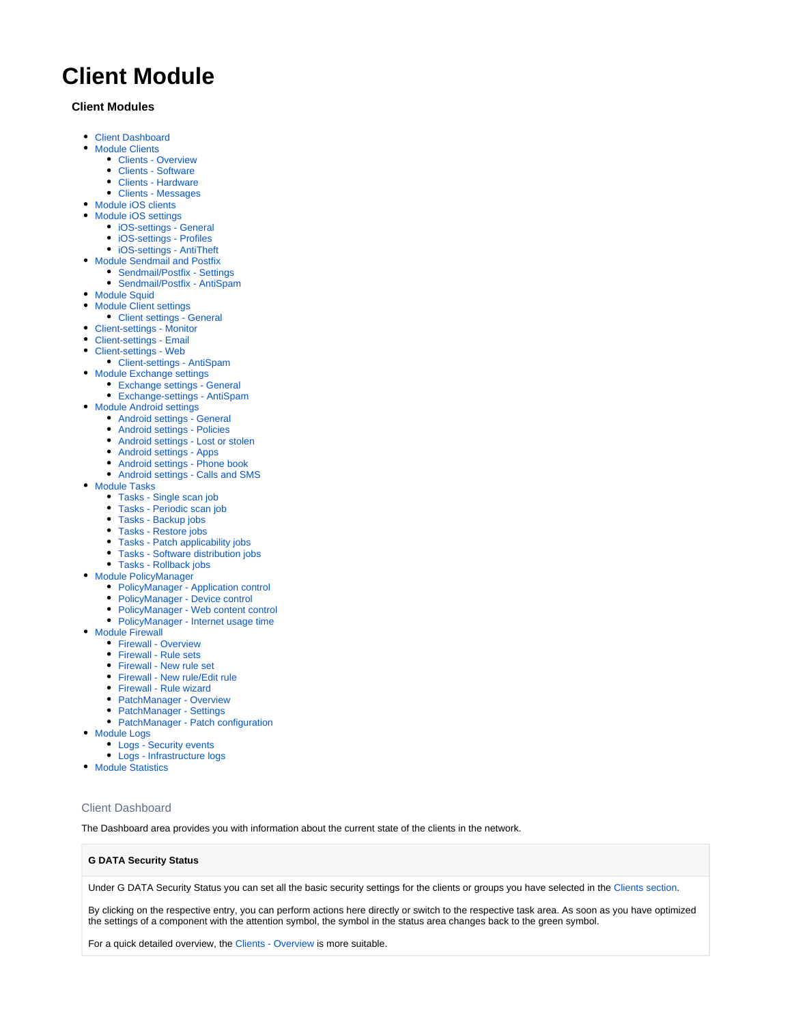# **Client Module**

# **Client Modules**

- [Client Dashboard](#page-0-0)
- [Module Clients](#page-1-0)
	- [Clients Overview](#page-1-1)
	- [Clients Software](#page-2-0)
	- [Clients Hardware](#page-2-1)
	- [Clients Messages](#page-2-2)
- [Module iOS clients](#page-2-3)
- [Module iOS settings](#page-3-0)
	- [iOS-settings General](#page-3-1)
	- [iOS-settings Profiles](#page-3-2)
	- [iOS-settings AntiTheft](#page-3-3)
- [Module Sendmail and Postfix](#page-3-4)
	- [Sendmail/Postfix Settings](#page-4-0) [Sendmail/Postfix - AntiSpam](#page-4-1)
- [Module Squid](#page-4-2)
- [Module Client settings](#page-4-3)
- [Client settings General](#page-4-4)
- [Client-settings Monitor](#page-6-0)
- [Client-settings Email](#page-7-0)
- [Client-settings Web](#page-8-0)
- [Client-settings AntiSpam](#page-9-0)
- [Module Exchange settings](#page-9-1)
	- [Exchange settings General](#page-9-2)
	- [Exchange-settings AntiSpam](#page-9-3)
- [Module Android settings](#page-10-0)
	- [Android settings General](#page-10-1)
	- [Android settings Policies](#page-10-2)
	- [Android settings Lost or stolen](#page-11-0)
	- [Android settings Apps](#page-12-0)
	- [Android settings Phone book](#page-12-1)
	- [Android settings Calls and SMS](#page-12-2)
- [Module Tasks](#page-13-0)
	- [Tasks Single scan job](#page-13-1)
	- [Tasks Periodic scan job](#page-14-0)
	- [Tasks Backup jobs](#page-15-0)
	- [Tasks Restore jobs](#page-16-0)
	- [Tasks Patch applicability jobs](#page-16-1)
	- [Tasks Software distribution jobs](#page-16-2)
	- [Tasks Rollback jobs](#page-16-3)
- [Module PolicyManager](#page-17-0)
	- [PolicyManager Application control](#page-17-1)
	- [PolicyManager Device control](#page-17-2)
	- [PolicyManager Web content control](#page-18-0)
	- [PolicyManager Internet usage time](#page-18-1)
- [Module Firewall](#page-18-2)
	- [Firewall Overview](#page-18-3)
	- [Firewall Rule sets](#page-19-0)
	- [Firewall New rule set](#page-19-1)
	- [Firewall New rule/Edit rule](#page-19-2)
	- [Firewall Rule wizard](#page-19-3)
	- [PatchManager Overview](#page-20-0)
	- [PatchManager Settings](#page-20-1)
	- [PatchManager Patch configuration](#page-20-2)
- [Module Logs](#page-21-0)
	- [Logs Security events](#page-21-1)
	- [Logs Infrastructure logs](#page-22-0)
- [Module Statistics](#page-22-1)

# <span id="page-0-0"></span>Client Dashboard

The Dashboard area provides you with information about the current state of the clients in the network.

# **G DATA Security Status**

Under G DATA Security Status you can set all the basic security settings for the clients or groups you have selected in the [Clients section.](https://www.gdata.help/display/BS/Modul+Clients)

By clicking on the respective entry, you can perform actions here directly or switch to the respective task area. As soon as you have optimized the settings of a component with the attention symbol, the symbol in the status area changes back to the green symbol.

For a quick detailed overview, the [Clients - Overview](https://www.gdata.help/display/BS/Clients+-+Uebersicht) is more suitable.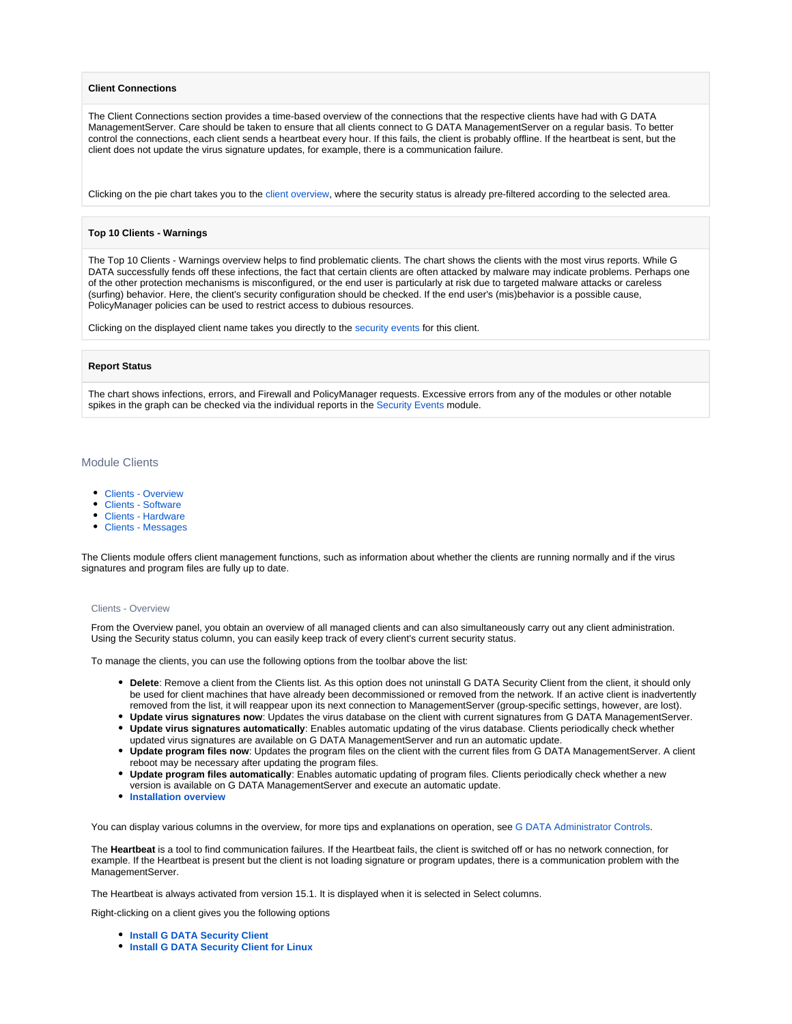# **Client Connections**

The Client Connections section provides a time-based overview of the connections that the respective clients have had with G DATA ManagementServer. Care should be taken to ensure that all clients connect to G DATA ManagementServer on a regular basis. To better control the connections, each client sends a heartbeat every hour. If this fails, the client is probably offline. If the heartbeat is sent, but the client does not update the virus signature updates, for example, there is a communication failure.

Clicking on the pie chart takes you to the [client overview,](https://www.gdata.help/display/BS/Clients+-+Uebersicht) where the security status is already pre-filtered according to the selected area.

# **Top 10 Clients - Warnings**

The Top 10 Clients - Warnings overview helps to find problematic clients. The chart shows the clients with the most virus reports. While G DATA successfully fends off these infections, the fact that certain clients are often attacked by malware may indicate problems. Perhaps one of the other protection mechanisms is misconfigured, or the end user is particularly at risk due to targeted malware attacks or careless (surfing) behavior. Here, the client's security configuration should be checked. If the end user's (mis)behavior is a possible cause, PolicyManager policies can be used to restrict access to dubious resources.

Clicking on the displayed client name takes you directly to the [security events](https://www.gdata.help/display/BS/Protokolle+-+Sicherheitsereignisse) for this client.

#### **Report Status**

The chart shows infections, errors, and Firewall and PolicyManager requests. Excessive errors from any of the modules or other notable spikes in the graph can be checked via the individual reports in the [Security Events](https://www.gdata.help/display/BS/Protokolle+-+Sicherheitsereignisse) module.

# <span id="page-1-0"></span>Module Clients

- [Clients Overview](#page-1-1)
- [Clients Software](#page-2-0)
- [Clients Hardware](#page-2-1)
- [Clients Messages](#page-2-2)

The Clients module offers client management functions, such as information about whether the clients are running normally and if the virus signatures and program files are fully up to date.

#### <span id="page-1-1"></span>Clients - Overview

From the Overview panel, you obtain an overview of all managed clients and can also simultaneously carry out any client administration. Using the Security status column, you can easily keep track of every client's current security status.

To manage the clients, you can use the following options from the toolbar above the list:

- **Delete**: Remove a client from the Clients list. As this option does not uninstall G DATA Security Client from the client, it should only be used for client machines that have already been decommissioned or removed from the network. If an active client is inadvertently removed from the list, it will reappear upon its next connection to ManagementServer (group-specific settings, however, are lost).
- **Update virus signatures now**: Updates the virus database on the client with current signatures from G DATA ManagementServer.
- **Update virus signatures automatically**: Enables automatic updating of the virus database. Clients periodically check whether updated virus signatures are available on G DATA ManagementServer and run an automatic update.
- **Update program files now**: Updates the program files on the client with the current files from G DATA ManagementServer. A client reboot may be necessary after updating the program files.
- **Update program files automatically**: Enables automatic updating of program files. Clients periodically check whether a new version is available on G DATA ManagementServer and execute an automatic update.
- **[Installation overview](https://www.gdata.help/display/BS/Clients+-+Installationsuebersicht)**

You can display various columns in the overview, for more tips and explanations on operation, se[e G DATA Administrator Controls.](https://www.gdata.help/display/BS/G+DATA+Administrator+Bedienelemente)

The **Heartbeat** is a tool to find communication failures. If the Heartbeat fails, the client is switched off or has no network connection, for example. If the Heartbeat is present but the client is not loading signature or program updates, there is a communication problem with the ManagementServer.

The Heartbeat is always activated from version 15.1. It is displayed when it is selected in Select columns.

Right-clicking on a client gives you the following options

- *[Install G DATA Security Client](https://www.gdata.help/display/BS/G+DATA+Business+Solutions+-+Installation)*
- **[Install G DATA Security Client for Linux](https://www.gdata.help/display/BS/Installation+-+G+DATA+Security+Client+fuer+Linux)**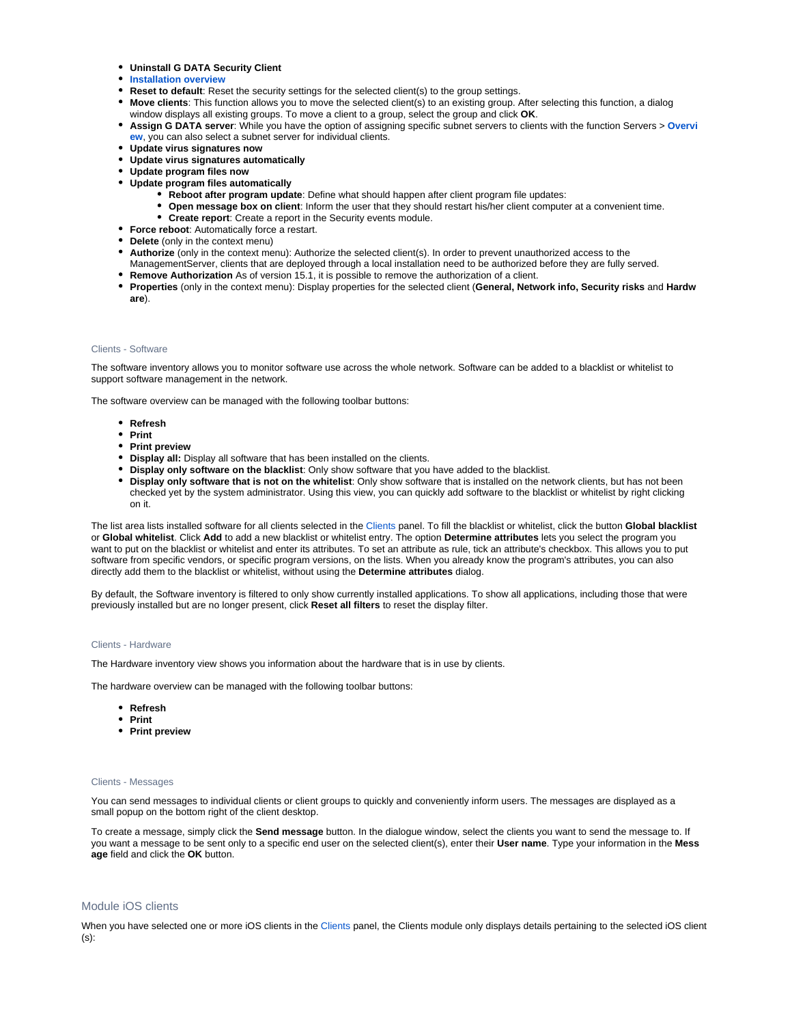- **Uninstall G DATA Security Client**
- **[Installation overview](https://www.gdata.help/display/BS/Clients+-+Installationsuebersicht)**
- **Reset to default**: Reset the security settings for the selected client(s) to the group settings.
- **Move clients**: This function allows you to move the selected client(s) to an existing group. After selecting this function, a dialog window displays all existing groups. To move a client to a group, select the group and click **OK**.
- **Assign G DATA server**: While you have the option of assigning specific subnet servers to clients with the function Servers > **[Overvi](https://www.gdata.help/display/BS/Server+-+Uebersicht) [ew](https://www.gdata.help/display/BS/Server+-+Uebersicht)**, you can also select a subnet server for individual clients.
- **Update virus signatures now**
- **Update virus signatures automatically**
- **Update program files now**
- **Update program files automatically**
	- **Reboot after program update**: Define what should happen after client program file updates:
	- **Open message box on client**: Inform the user that they should restart his/her client computer at a convenient time.
		- **Create report**: Create a report in the Security events module.
- **Force reboot**: Automatically force a restart.
- **Delete** (only in the context menu)
- **Authorize** (only in the context menu): Authorize the selected client(s). In order to prevent unauthorized access to the
- ManagementServer, clients that are deployed through a local installation need to be authorized before they are fully served. **Remove Authorization** As of version 15.1, it is possible to remove the authorization of a client.
- **Properties** (only in the context menu): Display properties for the selected client (**General, Network info, Security risks** and **Hardw are**).

# <span id="page-2-0"></span>Clients - Software

The software inventory allows you to monitor software use across the whole network. Software can be added to a blacklist or whitelist to support software management in the network.

The software overview can be managed with the following toolbar buttons:

- **Refresh**
- **Print**
- **Print preview**
- **Display all:** Display all software that has been installed on the clients.
- **Display only software on the blacklist**: Only show software that you have added to the blacklist.
- **Display only software that is not on the whitelist**: Only show software that is installed on the network clients, but has not been checked yet by the system administrator. Using this view, you can quickly add software to the blacklist or whitelist by right clicking on it.

The list area lists installed software for all clients selected in the [Clients](https://www.gdata.help/display/BS/Clients+-+Software) panel. To fill the blacklist or whitelist, click the button **Global blacklist** or **Global whitelist**. Click **Add** to add a new blacklist or whitelist entry. The option **Determine attributes** lets you select the program you want to put on the blacklist or whitelist and enter its attributes. To set an attribute as rule, tick an attribute's checkbox. This allows you to put software from specific vendors, or specific program versions, on the lists. When you already know the program's attributes, you can also directly add them to the blacklist or whitelist, without using the **Determine attributes** dialog.

By default, the Software inventory is filtered to only show currently installed applications. To show all applications, including those that were previously installed but are no longer present, click **Reset all filters** to reset the display filter.

# <span id="page-2-1"></span>Clients - Hardware

The Hardware inventory view shows you information about the hardware that is in use by clients.

The hardware overview can be managed with the following toolbar buttons:

- **Refresh**
- **Print**
- **Print preview**

#### <span id="page-2-2"></span>Clients - Messages

You can send messages to individual clients or client groups to quickly and conveniently inform users. The messages are displayed as a small popup on the bottom right of the client desktop.

To create a message, simply click the **Send message** button. In the dialogue window, select the clients you want to send the message to. If you want a message to be sent only to a specific end user on the selected client(s), enter their **User name**. Type your information in the **Mess age** field and click the **OK** button.

# <span id="page-2-3"></span>Module iOS clients

When you have selected one or more iOS clients in the [Clients](https://www.gdata.help/display/BS/Ansicht+Clients) panel, the Clients module only displays details pertaining to the selected iOS client (s):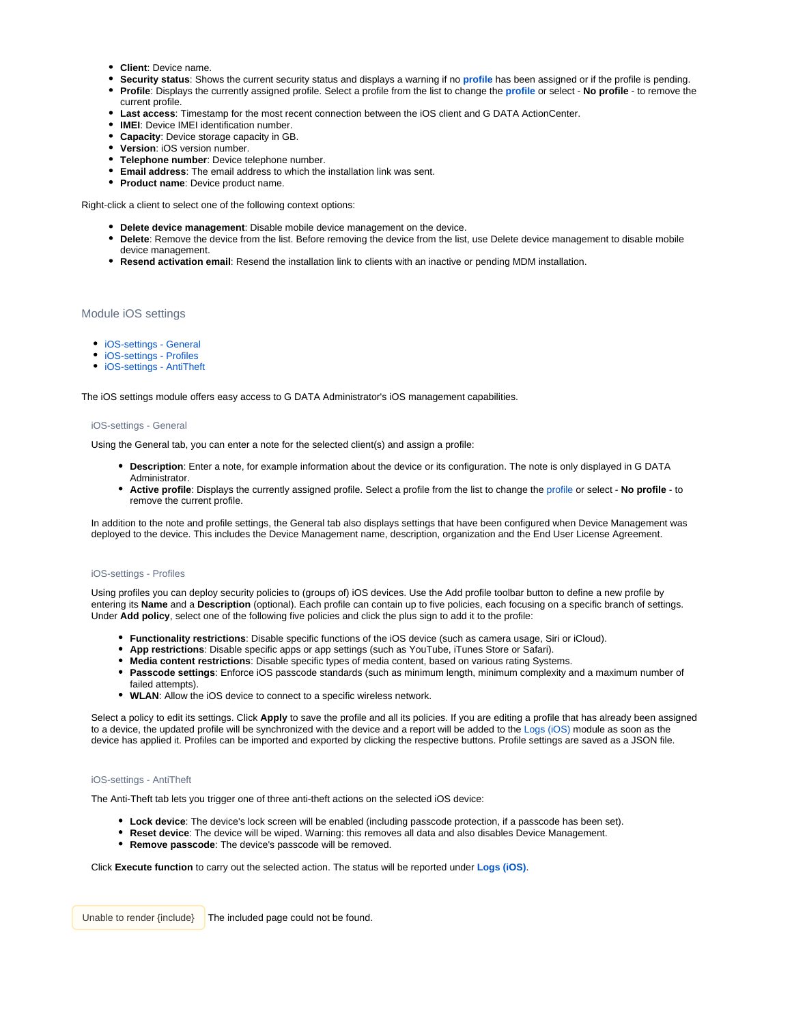- **Client**: Device name.
- **Security status**: Shows the current security status and displays a warning if no **[profile](https://www.gdata.help/display/BS/iOS-Einstellungen+-+Allgemein)** has been assigned or if the profile is pending.
- **Profile**: Displays the currently assigned profile. Select a profile from the list to change the **[profile](https://www.gdata.help/display/BS/iOS-Einstellungen+-+Allgemein)** or select **No profile** to remove the current profile.
- **Last access**: Timestamp for the most recent connection between the iOS client and G DATA ActionCenter.
- **IMEI**: Device IMEI identification number.
- **Capacity**: Device storage capacity in GB.
- **Version**: iOS version number.
- **Telephone number**: Device telephone number.
- **Email address**: The email address to which the installation link was sent.
- **Product name**: Device product name.

Right-click a client to select one of the following context options:

- **Delete device management**: Disable mobile device management on the device.
- **Delete**: Remove the device from the list. Before removing the device from the list, use Delete device management to disable mobile device management.
- **Resend activation email**: Resend the installation link to clients with an inactive or pending MDM installation.

# <span id="page-3-0"></span>Module iOS settings

- [iOS-settings General](#page-3-1)
- [iOS-settings Profiles](#page-3-2)
- [iOS-settings AntiTheft](#page-3-3)

<span id="page-3-1"></span>The iOS settings module offers easy access to G DATA Administrator's iOS management capabilities.

# iOS-settings - General

Using the General tab, you can enter a note for the selected client(s) and assign a profile:

- **Description**: Enter a note, for example information about the device or its configuration. The note is only displayed in G DATA Administrator.
- **Active profile**: Displays the currently assigned profile. Select a profile from the list to change the [profile](https://www.gdata.help/display/BS/iOS-Einstellungen+-+Allgemein) or select **No profile** to remove the current profile.

In addition to the note and profile settings, the General tab also displays settings that have been configured when Device Management was deployed to the device. This includes the Device Management name, description, organization and the End User License Agreement.

#### <span id="page-3-2"></span>iOS-settings - Profiles

Using profiles you can deploy security policies to (groups of) iOS devices. Use the Add profile toolbar button to define a new profile by entering its **Name** and a **Description** (optional). Each profile can contain up to five policies, each focusing on a specific branch of settings. Under **Add policy**, select one of the following five policies and click the plus sign to add it to the profile:

- **Functionality restrictions**: Disable specific functions of the iOS device (such as camera usage, Siri or iCloud).
- **App restrictions**: Disable specific apps or app settings (such as YouTube, iTunes Store or Safari).
- **Media content restrictions**: Disable specific types of media content, based on various rating Systems.
- **Passcode settings**: Enforce iOS passcode standards (such as minimum length, minimum complexity and a maximum number of failed attempts).
- **WLAN**: Allow the iOS device to connect to a specific wireless network.

Select a policy to edit its settings. Click **Apply** to save the profile and all its policies. If you are editing a profile that has already been assigned to a device, the updated profile will be synchronized with the device and a report will be added to the [Logs \(iOS\)](https://www.gdata.help/display/BS/iOS-Einstellungen+-+Profile) module as soon as the device has applied it. Profiles can be imported and exported by clicking the respective buttons. Profile settings are saved as a JSON file.

# <span id="page-3-3"></span>iOS-settings - AntiTheft

The Anti-Theft tab lets you trigger one of three anti-theft actions on the selected iOS device:

- **Lock device**: The device's lock screen will be enabled (including passcode protection, if a passcode has been set).
- **Reset device**: The device will be wiped. Warning: this removes all data and also disables Device Management.
- **Remove passcode**: The device's passcode will be removed.

Click **Execute function** to carry out the selected action. The status will be reported under **Logs (iOS)**.

<span id="page-3-4"></span>Unable to render {include} The included page could not be found.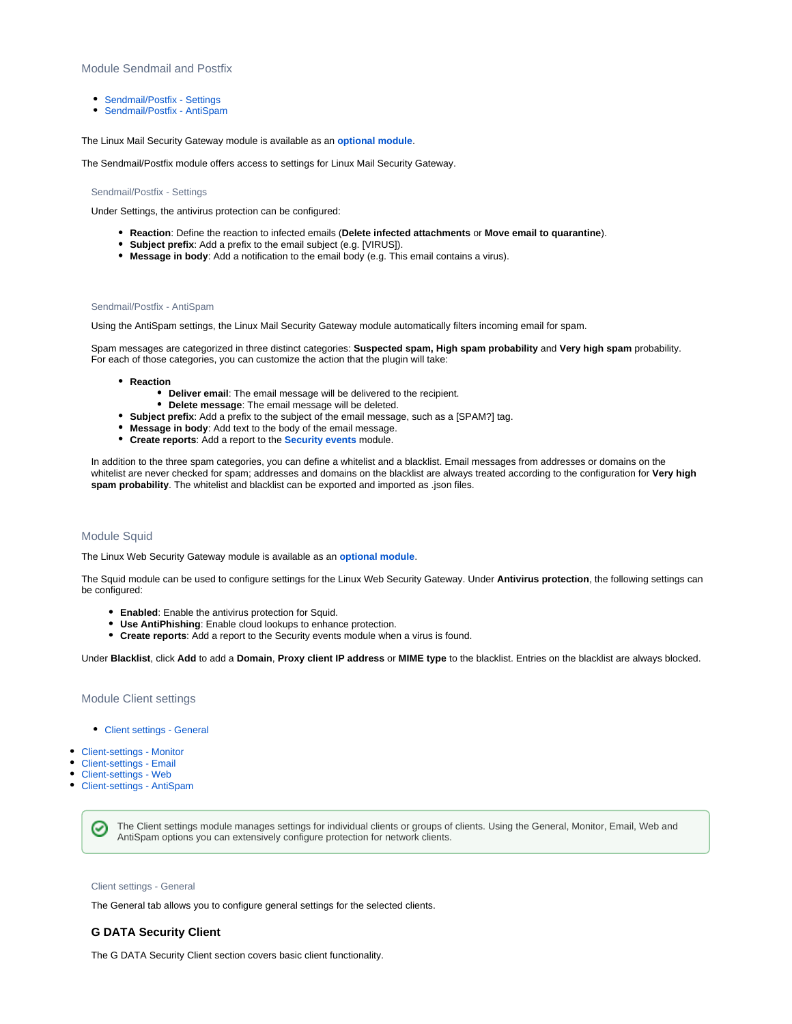# Module Sendmail and Postfix

- [Sendmail/Postfix Settings](#page-4-0)
- [Sendmail/Postfix AntiSpam](#page-4-1)

The Linux Mail Security Gateway module is available as an **[optional module](https://www.gdata.help/display/BS/G+DATA+Business+Solutions+-+Lizenzierung)**.

<span id="page-4-0"></span>The Sendmail/Postfix module offers access to settings for Linux Mail Security Gateway.

Sendmail/Postfix - Settings

Under Settings, the antivirus protection can be configured:

- **Reaction**: Define the reaction to infected emails (**Delete infected attachments** or **Move email to quarantine**).
- **Subject prefix**: Add a prefix to the email subject (e.g. [VIRUS]).
- **Message in body**: Add a notification to the email body (e.g. This email contains a virus).

# <span id="page-4-1"></span>Sendmail/Postfix - AntiSpam

Using the AntiSpam settings, the Linux Mail Security Gateway module automatically filters incoming email for spam.

Spam messages are categorized in three distinct categories: **Suspected spam, High spam probability** and **Very high spam** probability. For each of those categories, you can customize the action that the plugin will take:

- **Reaction**
	- **Deliver email**: The email message will be delivered to the recipient.
	- **Delete message**: The email message will be deleted.
- **Subject prefix**: Add a prefix to the subject of the email message, such as a [SPAM?] tag.
- **Message in body**: Add text to the body of the email message.
- **Create reports**: Add a report to the **[Security events](https://www.gdata.help/display/BS/Protokolle+-+Sicherheitsereignisse)** module.

In addition to the three spam categories, you can define a whitelist and a blacklist. Email messages from addresses or domains on the whitelist are never checked for spam; addresses and domains on the blacklist are always treated according to the configuration for **Very high spam probability**. The whitelist and blacklist can be exported and imported as .json files.

# <span id="page-4-2"></span>Module Squid

The Linux Web Security Gateway module is available as an **[optional module](https://www.gdata.help/display/BS/G+DATA+Business+Solutions+-+Lizenzierung)**.

The Squid module can be used to configure settings for the Linux Web Security Gateway. Under **Antivirus protection**, the following settings can be configured:

- **Enabled**: Enable the antivirus protection for Squid.
- **Use AntiPhishing**: Enable cloud lookups to enhance protection.
- **Create reports**: Add a report to the Security events module when a virus is found.

Under **Blacklist**, click **Add** to add a **Domain**, **Proxy client IP address** or **MIME type** to the blacklist. Entries on the blacklist are always blocked.

<span id="page-4-3"></span>Module Client settings

- [Client settings General](#page-4-4)
- [Client-settings Monitor](#page-6-0)
- [Client-settings Email](#page-7-0)
- [Client-settings Web](#page-8-0)
- [Client-settings AntiSpam](#page-9-0)

The Client settings module manages settings for individual clients or groups of clients. Using the General, Monitor, Email, Web and ✅ AntiSpam options you can extensively configure protection for network clients.

# <span id="page-4-4"></span>Client settings - General

The General tab allows you to configure general settings for the selected clients.

# **G DATA Security Client**

The G DATA Security Client section covers basic client functionality.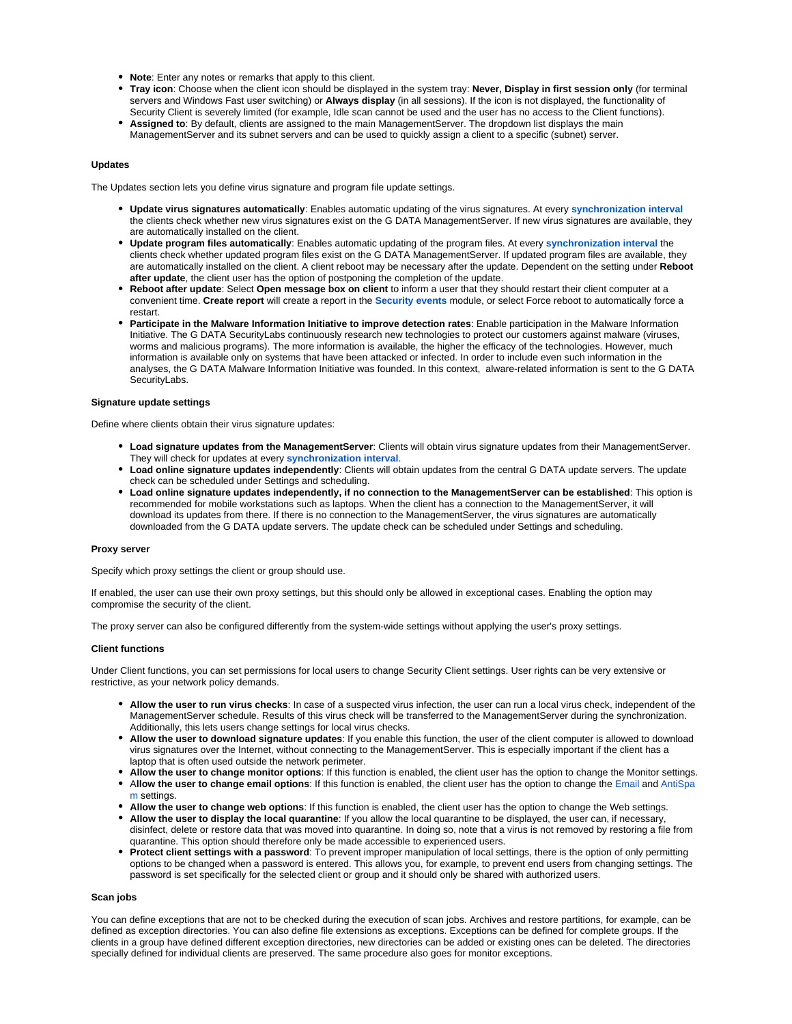- **Note**: Enter any notes or remarks that apply to this client.
- **Tray icon**: Choose when the client icon should be displayed in the system tray: **Never, Display in first session only** (for terminal servers and Windows Fast user switching) or **Always display** (in all sessions). If the icon is not displayed, the functionality of Security Client is severely limited (for example, Idle scan cannot be used and the user has no access to the Client functions).
- **Assigned to**: By default, clients are assigned to the main ManagementServer. The dropdown list displays the main ManagementServer and its subnet servers and can be used to quickly assign a client to a specific (subnet) server.

# **Updates**

The Updates section lets you define virus signature and program file update settings.

- **Update virus signatures automatically**: Enables automatic updating of the virus signatures. At every **[synchronization interval](https://www.gdata.help/display/BS/Allgemeine+Einstellungen+-+Synchronisation)** the clients check whether new virus signatures exist on the G DATA ManagementServer. If new virus signatures are available, they are automatically installed on the client.
- **Update program files automatically**: Enables automatic updating of the program files. At every **[synchronization interval](https://www.gdata.help/display/BS/Allgemeine+Einstellungen+-+Synchronisation)** the clients check whether updated program files exist on the G DATA ManagementServer. If updated program files are available, they are automatically installed on the client. A client reboot may be necessary after the update. Dependent on the setting under **Reboot after update**, the client user has the option of postponing the completion of the update.
- **Reboot after update**: Select **Open message box on client** to inform a user that they should restart their client computer at a convenient time. **Create report** will create a report in the **[Security events](https://www.gdata.help/display/BS/Protokolle+-+Sicherheitsereignisse)** module, or select Force reboot to automatically force a restart.
- **Participate in the Malware Information Initiative to improve detection rates**: Enable participation in the Malware Information Initiative. The G DATA SecurityLabs continuously research new technologies to protect our customers against malware (viruses, worms and malicious programs). The more information is available, the higher the efficacy of the technologies. However, much information is available only on systems that have been attacked or infected. In order to include even such information in the analyses, the G DATA Malware Information Initiative was founded. In this context, alware-related information is sent to the G DATA SecurityLabs.

#### **Signature update settings**

Define where clients obtain their virus signature updates:

- **Load signature updates from the ManagementServer**: Clients will obtain virus signature updates from their ManagementServer. They will check for updates at every **[synchronization interval](https://www.gdata.help/display/BS/Allgemeine+Einstellungen+-+Synchronisation)**.
- **Load online signature updates independently**: Clients will obtain updates from the central G DATA update servers. The update check can be scheduled under Settings and scheduling.
- **Load online signature updates independently, if no connection to the ManagementServer can be established**: This option is recommended for mobile workstations such as laptops. When the client has a connection to the ManagementServer, it will download its updates from there. If there is no connection to the ManagementServer, the virus signatures are automatically downloaded from the G DATA update servers. The update check can be scheduled under Settings and scheduling.

#### **Proxy server**

Specify which proxy settings the client or group should use.

If enabled, the user can use their own proxy settings, but this should only be allowed in exceptional cases. Enabling the option may compromise the security of the client.

The proxy server can also be configured differently from the system-wide settings without applying the user's proxy settings.

# **Client functions**

Under Client functions, you can set permissions for local users to change Security Client settings. User rights can be very extensive or restrictive, as your network policy demands.

- **Allow the user to run virus checks**: In case of a suspected virus infection, the user can run a local virus check, independent of the ManagementServer schedule. Results of this virus check will be transferred to the ManagementServer during the synchronization. Additionally, this lets users change settings for local virus checks.
- **Allow the user to download signature updates**: If you enable this function, the user of the client computer is allowed to download virus signatures over the Internet, without connecting to the ManagementServer. This is especially important if the client has a laptop that is often used outside the network perimeter.
- **Allow the user to change monitor options**: If this function is enabled, the client user has the option to change the Monitor settings.
- A**llow the user to change email options**: If this function is enabled, the client user has the option to change the [Email a](https://www.gdata.help/display/BS/Client-Einstellungen+-+E-Mail)nd [AntiSpa](https://www.gdata.help/display/BS/Client-Einstellungen+-+AntiSpam) [m s](https://www.gdata.help/display/BS/Client-Einstellungen+-+AntiSpam)ettings.
- **Allow the user to change web options**: If this function is enabled, the client user has the option to change the Web settings.
- **Allow the user to display the local quarantine**: If you allow the local quarantine to be displayed, the user can, if necessary, disinfect, delete or restore data that was moved into quarantine. In doing so, note that a virus is not removed by restoring a file from quarantine. This option should therefore only be made accessible to experienced users.
- **Protect client settings with a password**: To prevent improper manipulation of local settings, there is the option of only permitting options to be changed when a password is entered. This allows you, for example, to prevent end users from changing settings. The password is set specifically for the selected client or group and it should only be shared with authorized users.

#### **Scan jobs**

You can define exceptions that are not to be checked during the execution of scan jobs. Archives and restore partitions, for example, can be defined as exception directories. You can also define file extensions as exceptions. Exceptions can be defined for complete groups. If the clients in a group have defined different exception directories, new directories can be added or existing ones can be deleted. The directories specially defined for individual clients are preserved. The same procedure also goes for monitor exceptions.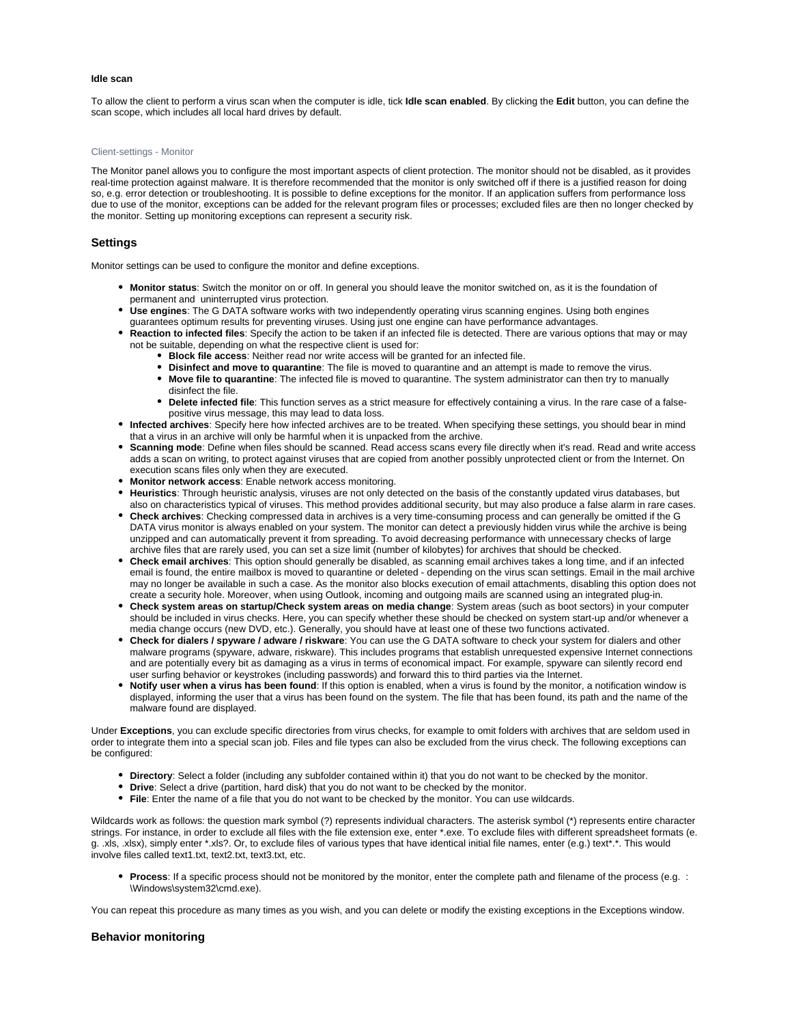# **Idle scan**

To allow the client to perform a virus scan when the computer is idle, tick **Idle scan enabled**. By clicking the **Edit** button, you can define the scan scope, which includes all local hard drives by default.

#### <span id="page-6-0"></span>Client-settings - Monitor

The Monitor panel allows you to configure the most important aspects of client protection. The monitor should not be disabled, as it provides real-time protection against malware. It is therefore recommended that the monitor is only switched off if there is a justified reason for doing so, e.g. error detection or troubleshooting. It is possible to define exceptions for the monitor. If an application suffers from performance loss due to use of the monitor, exceptions can be added for the relevant program files or processes; excluded files are then no longer checked by the monitor. Setting up monitoring exceptions can represent a security risk.

# **Settings**

Monitor settings can be used to configure the monitor and define exceptions.

- **Monitor status**: Switch the monitor on or off. In general you should leave the monitor switched on, as it is the foundation of permanent and uninterrupted virus protection.
- **Use engines**: The G DATA software works with two independently operating virus scanning engines. Using both engines guarantees optimum results for preventing viruses. Using just one engine can have performance advantages.
- **Reaction to infected files**: Specify the action to be taken if an infected file is detected. There are various options that may or may not be suitable, depending on what the respective client is used for:
	- **Block file access**: Neither read nor write access will be granted for an infected file.
	- **Disinfect and move to quarantine**: The file is moved to quarantine and an attempt is made to remove the virus.
	- $\bullet$ **Move file to quarantine**: The infected file is moved to quarantine. The system administrator can then try to manually disinfect the file.
	- **Delete infected file**: This function serves as a strict measure for effectively containing a virus. In the rare case of a falsepositive virus message, this may lead to data loss.
- **Infected archives**: Specify here how infected archives are to be treated. When specifying these settings, you should bear in mind that a virus in an archive will only be harmful when it is unpacked from the archive.
- **Scanning mode**: Define when files should be scanned. Read access scans every file directly when it's read. Read and write access adds a scan on writing, to protect against viruses that are copied from another possibly unprotected client or from the Internet. On execution scans files only when they are executed.
- **Monitor network access**: Enable network access monitoring.
- **Heuristics**: Through heuristic analysis, viruses are not only detected on the basis of the constantly updated virus databases, but also on characteristics typical of viruses. This method provides additional security, but may also produce a false alarm in rare cases.
- **Check archives**: Checking compressed data in archives is a very time-consuming process and can generally be omitted if the G DATA virus monitor is always enabled on your system. The monitor can detect a previously hidden virus while the archive is being unzipped and can automatically prevent it from spreading. To avoid decreasing performance with unnecessary checks of large archive files that are rarely used, you can set a size limit (number of kilobytes) for archives that should be checked.
- **Check email archives**: This option should generally be disabled, as scanning email archives takes a long time, and if an infected email is found, the entire mailbox is moved to quarantine or deleted - depending on the virus scan settings. Email in the mail archive may no longer be available in such a case. As the monitor also blocks execution of email attachments, disabling this option does not create a security hole. Moreover, when using Outlook, incoming and outgoing mails are scanned using an integrated plug-in.
- **Check system areas on startup/Check system areas on media change**: System areas (such as boot sectors) in your computer should be included in virus checks. Here, you can specify whether these should be checked on system start-up and/or whenever a media change occurs (new DVD, etc.). Generally, you should have at least one of these two functions activated.
- **Check for dialers / spyware / adware / riskware**: You can use the G DATA software to check your system for dialers and other malware programs (spyware, adware, riskware). This includes programs that establish unrequested expensive Internet connections and are potentially every bit as damaging as a virus in terms of economical impact. For example, spyware can silently record end user surfing behavior or keystrokes (including passwords) and forward this to third parties via the Internet.
- **Notify user when a virus has been found**: If this option is enabled, when a virus is found by the monitor, a notification window is displayed, informing the user that a virus has been found on the system. The file that has been found, its path and the name of the malware found are displayed.

Under **Exceptions**, you can exclude specific directories from virus checks, for example to omit folders with archives that are seldom used in order to integrate them into a special scan job. Files and file types can also be excluded from the virus check. The following exceptions can be configured:

- **Directory**: Select a folder (including any subfolder contained within it) that you do not want to be checked by the monitor.
- **Drive**: Select a drive (partition, hard disk) that you do not want to be checked by the monitor.
- **File**: Enter the name of a file that you do not want to be checked by the monitor. You can use wildcards.

Wildcards work as follows: the question mark symbol (?) represents individual characters. The asterisk symbol (\*) represents entire character strings. For instance, in order to exclude all files with the file extension exe, enter \*.exe. To exclude files with different spreadsheet formats (e. g. .xls, .xlsx), simply enter \*.xls?. Or, to exclude files of various types that have identical initial file names, enter (e.g.) text\*.\*. This would involve files called text1.txt, text2.txt, text3.txt, etc.

**Process**: If a specific process should not be monitored by the monitor, enter the complete path and filename of the process (e.g. : \Windows\system32\cmd.exe).

You can repeat this procedure as many times as you wish, and you can delete or modify the existing exceptions in the Exceptions window.

# **Behavior monitoring**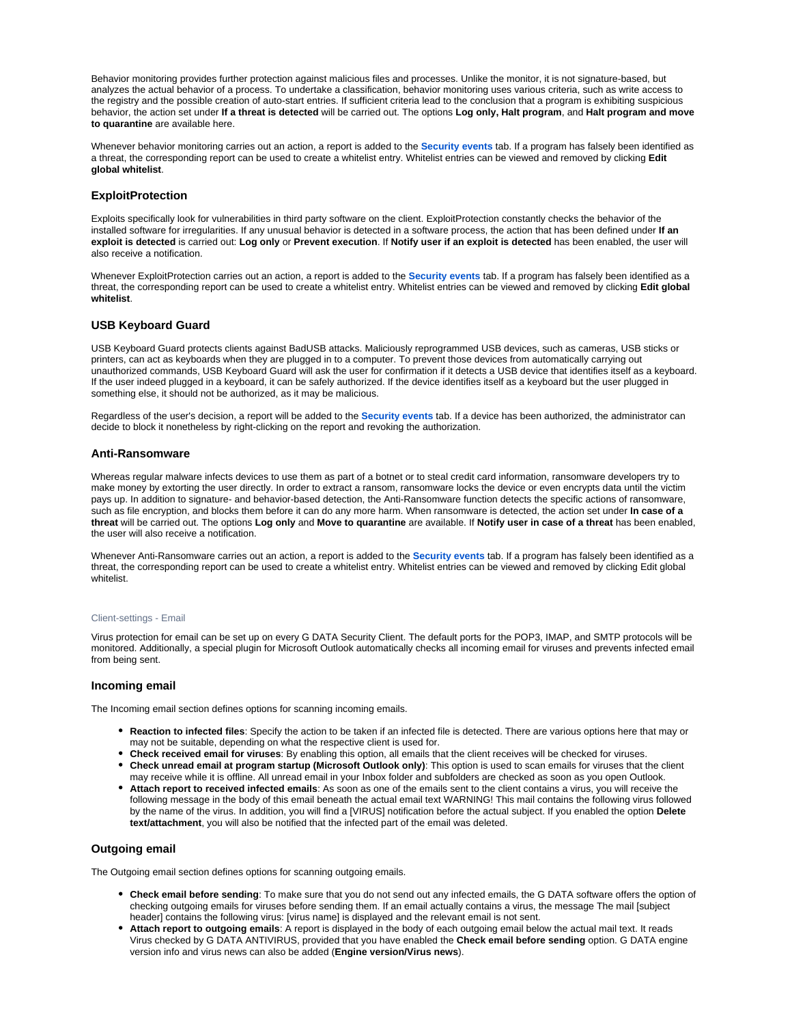Behavior monitoring provides further protection against malicious files and processes. Unlike the monitor, it is not signature-based, but analyzes the actual behavior of a process. To undertake a classification, behavior monitoring uses various criteria, such as write access to the registry and the possible creation of auto-start entries. If sufficient criteria lead to the conclusion that a program is exhibiting suspicious behavior, the action set under **If a threat is detected** will be carried out. The options **Log only, Halt program**, and **Halt program and move to quarantine** are available here.

Whenever behavior monitoring carries out an action, a report is added to the **[Security events](https://www.gdata.help/display/BS/Protokolle+-+Sicherheitsereignisse)** tab. If a program has falsely been identified as a threat, the corresponding report can be used to create a whitelist entry. Whitelist entries can be viewed and removed by clicking **Edit global whitelist**.

# **ExploitProtection**

Exploits specifically look for vulnerabilities in third party software on the client. ExploitProtection constantly checks the behavior of the installed software for irregularities. If any unusual behavior is detected in a software process, the action that has been defined under **If an exploit is detected** is carried out: **Log only** or **Prevent execution**. If **Notify user if an exploit is detected** has been enabled, the user will also receive a notification.

Whenever ExploitProtection carries out an action, a report is added to the **[Security events](https://www.gdata.help/display/BS/Protokolle+-+Sicherheitsereignisse)** tab. If a program has falsely been identified as a threat, the corresponding report can be used to create a whitelist entry. Whitelist entries can be viewed and removed by clicking **Edit global whitelist**.

# **USB Keyboard Guard**

USB Keyboard Guard protects clients against BadUSB attacks. Maliciously reprogrammed USB devices, such as cameras, USB sticks or printers, can act as keyboards when they are plugged in to a computer. To prevent those devices from automatically carrying out unauthorized commands, USB Keyboard Guard will ask the user for confirmation if it detects a USB device that identifies itself as a keyboard. If the user indeed plugged in a keyboard, it can be safely authorized. If the device identifies itself as a keyboard but the user plugged in something else, it should not be authorized, as it may be malicious.

Regardless of the user's decision, a report will be added to the **[Security events](https://www.gdata.help/display/BS/Protokolle+-+Sicherheitsereignisse)** tab. If a device has been authorized, the administrator can decide to block it nonetheless by right-clicking on the report and revoking the authorization.

# **Anti-Ransomware**

Whereas regular malware infects devices to use them as part of a botnet or to steal credit card information, ransomware developers try to make money by extorting the user directly. In order to extract a ransom, ransomware locks the device or even encrypts data until the victim pays up. In addition to signature- and behavior-based detection, the Anti-Ransomware function detects the specific actions of ransomware, such as file encryption, and blocks them before it can do any more harm. When ransomware is detected, the action set under **In case of a threat** will be carried out. The options **Log only** and **Move to quarantine** are available. If **Notify user in case of a threat** has been enabled, the user will also receive a notification.

Whenever Anti-Ransomware carries out an action, a report is added to the **[Security events](https://www.gdata.help/display/BS/Protokolle+-+Sicherheitsereignisse)** tab. If a program has falsely been identified as a threat, the corresponding report can be used to create a whitelist entry. Whitelist entries can be viewed and removed by clicking Edit global whitelist.

#### <span id="page-7-0"></span>Client-settings - Email

Virus protection for email can be set up on every G DATA Security Client. The default ports for the POP3, IMAP, and SMTP protocols will be monitored. Additionally, a special plugin for Microsoft Outlook automatically checks all incoming email for viruses and prevents infected email from being sent.

#### **Incoming email**

The Incoming email section defines options for scanning incoming emails.

- **Reaction to infected files**: Specify the action to be taken if an infected file is detected. There are various options here that may or may not be suitable, depending on what the respective client is used for.
- **Check received email for viruses**: By enabling this option, all emails that the client receives will be checked for viruses.
- **Check unread email at program startup (Microsoft Outlook only)**: This option is used to scan emails for viruses that the client may receive while it is offline. All unread email in your Inbox folder and subfolders are checked as soon as you open Outlook.
- **Attach report to received infected emails**: As soon as one of the emails sent to the client contains a virus, you will receive the following message in the body of this email beneath the actual email text WARNING! This mail contains the following virus followed by the name of the virus. In addition, you will find a [VIRUS] notification before the actual subject. If you enabled the option **Delete text/attachment**, you will also be notified that the infected part of the email was deleted.

#### **Outgoing email**

The Outgoing email section defines options for scanning outgoing emails.

- **Check email before sending**: To make sure that you do not send out any infected emails, the G DATA software offers the option of checking outgoing emails for viruses before sending them. If an email actually contains a virus, the message The mail [subject header] contains the following virus: [virus name] is displayed and the relevant email is not sent.
- **Attach report to outgoing emails**: A report is displayed in the body of each outgoing email below the actual mail text. It reads Virus checked by G DATA ANTIVIRUS, provided that you have enabled the **Check email before sending** option. G DATA engine version info and virus news can also be added (**Engine version/Virus news**).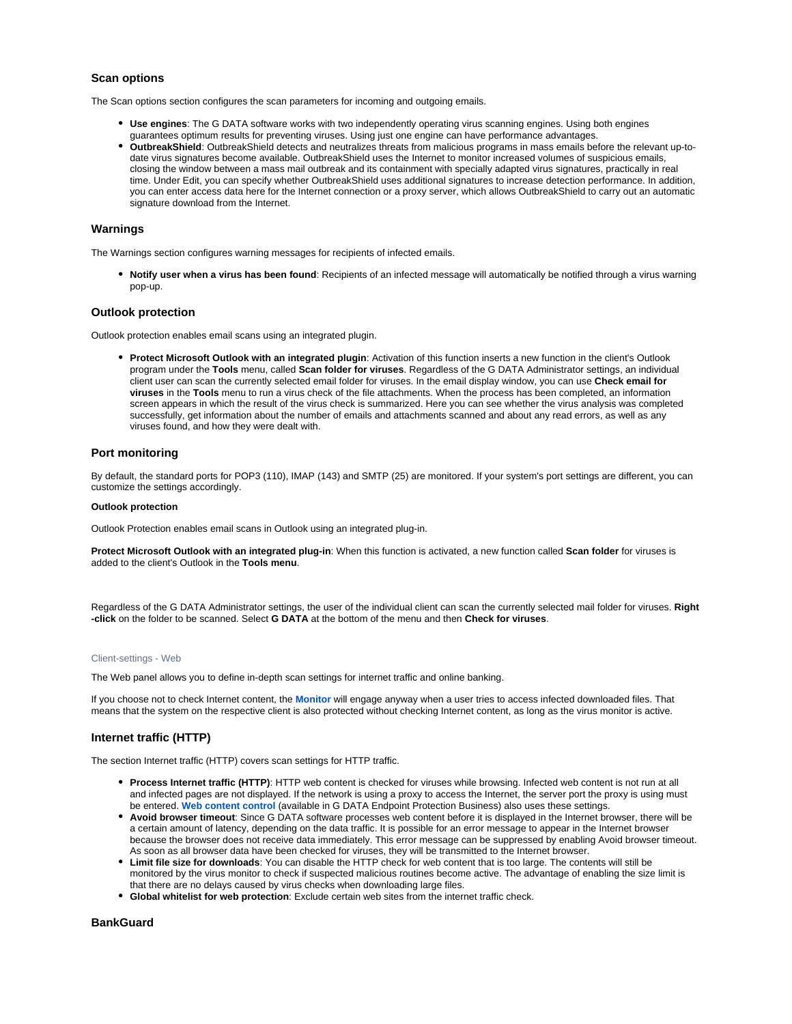# **Scan options**

The Scan options section configures the scan parameters for incoming and outgoing emails.

- **Use engines**: The G DATA software works with two independently operating virus scanning engines. Using both engines guarantees optimum results for preventing viruses. Using just one engine can have performance advantages.
- **OutbreakShield**: OutbreakShield detects and neutralizes threats from malicious programs in mass emails before the relevant up-todate virus signatures become available. OutbreakShield uses the Internet to monitor increased volumes of suspicious emails, closing the window between a mass mail outbreak and its containment with specially adapted virus signatures, practically in real time. Under Edit, you can specify whether OutbreakShield uses additional signatures to increase detection performance. In addition, you can enter access data here for the Internet connection or a proxy server, which allows OutbreakShield to carry out an automatic signature download from the Internet.

# **Warnings**

The Warnings section configures warning messages for recipients of infected emails.

**Notify user when a virus has been found**: Recipients of an infected message will automatically be notified through a virus warning pop-up.

# **Outlook protection**

Outlook protection enables email scans using an integrated plugin.

**Protect Microsoft Outlook with an integrated plugin**: Activation of this function inserts a new function in the client's Outlook program under the **Tools** menu, called **Scan folder for viruses**. Regardless of the G DATA Administrator settings, an individual client user can scan the currently selected email folder for viruses. In the email display window, you can use **Check email for viruses** in the **Tools** menu to run a virus check of the file attachments. When the process has been completed, an information screen appears in which the result of the virus check is summarized. Here you can see whether the virus analysis was completed successfully, get information about the number of emails and attachments scanned and about any read errors, as well as any viruses found, and how they were dealt with.

# **Port monitoring**

By default, the standard ports for POP3 (110), IMAP (143) and SMTP (25) are monitored. If your system's port settings are different, you can customize the settings accordingly.

#### **Outlook protection**

Outlook Protection enables email scans in Outlook using an integrated plug-in.

**Protect Microsoft Outlook with an integrated plug-in**: When this function is activated, a new function called **Scan folder** for viruses is added to the client's Outlook in the **Tools menu**.

Regardless of the G DATA Administrator settings, the user of the individual client can scan the currently selected mail folder for viruses. **Right -click** on the folder to be scanned. Select **G DATA** at the bottom of the menu and then **Check for viruses**.

#### <span id="page-8-0"></span>Client-settings - Web

The Web panel allows you to define in-depth scan settings for internet traffic and online banking.

If you choose not to check Internet content, the **[Monitor](https://www.gdata.help/display/BS/Client-Einstellungen+-+Waechter)** will engage anyway when a user tries to access infected downloaded files. That means that the system on the respective client is also protected without checking Internet content, as long as the virus monitor is active.

# **Internet traffic (HTTP)**

The section Internet traffic (HTTP) covers scan settings for HTTP traffic.

- **Process Internet traffic (HTTP)**: HTTP web content is checked for viruses while browsing. Infected web content is not run at all and infected pages are not displayed. If the network is using a proxy to access the Internet, the server port the proxy is using must be entered. **[Web content control](https://www.gdata.help/display/BS/PolicyManager+-+Web-Inhaltskontrolle)** (available in G DATA Endpoint Protection Business) also uses these settings.
- **Avoid browser timeout**: Since G DATA software processes web content before it is displayed in the Internet browser, there will be a certain amount of latency, depending on the data traffic. It is possible for an error message to appear in the Internet browser because the browser does not receive data immediately. This error message can be suppressed by enabling Avoid browser timeout. As soon as all browser data have been checked for viruses, they will be transmitted to the Internet browser.
- **Limit file size for downloads**: You can disable the HTTP check for web content that is too large. The contents will still be monitored by the virus monitor to check if suspected malicious routines become active. The advantage of enabling the size limit is that there are no delays caused by virus checks when downloading large files.
- **Global whitelist for web protection**: Exclude certain web sites from the internet traffic check.

# **BankGuard**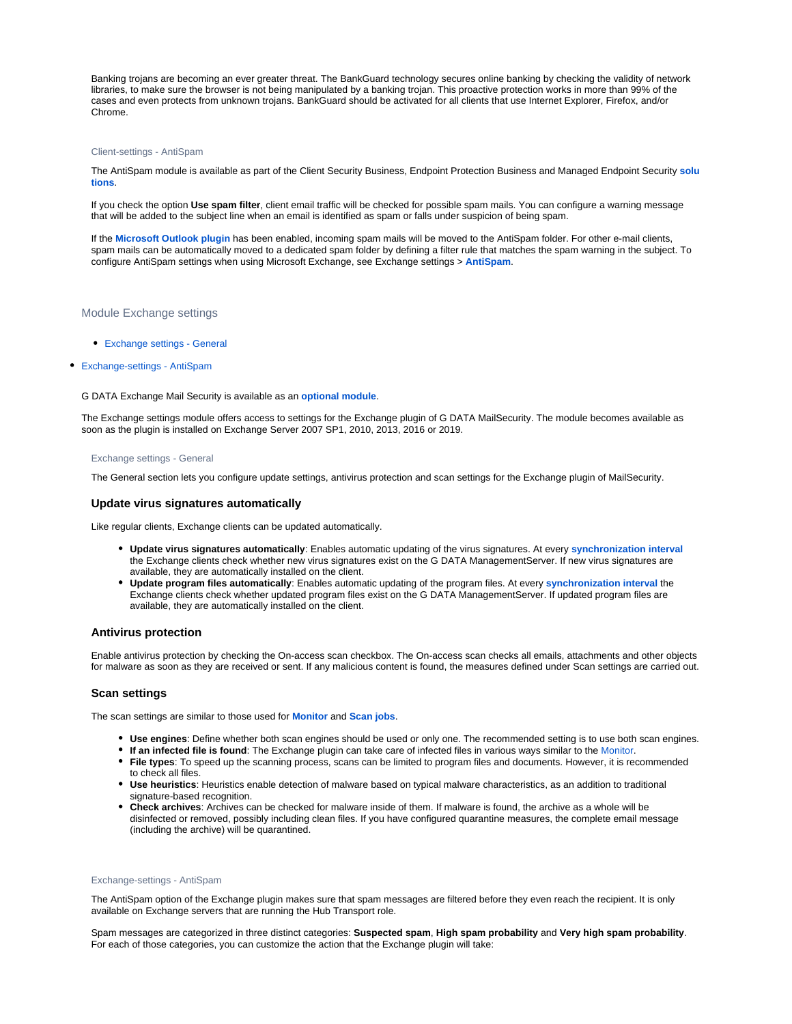Banking trojans are becoming an ever greater threat. The BankGuard technology secures online banking by checking the validity of network libraries, to make sure the browser is not being manipulated by a banking trojan. This proactive protection works in more than 99% of the cases and even protects from unknown trojans. BankGuard should be activated for all clients that use Internet Explorer, Firefox, and/or Chrome.

#### <span id="page-9-0"></span>Client-settings - AntiSpam

The AntiSpam module is available as part of the Client Security Business, Endpoint Protection Business and Managed Endpoint Security **[solu](https://www.gdata.help/display/BS/G+DATA+Business+Solutions+-+Lizenzierung) [tions](https://www.gdata.help/display/BS/G+DATA+Business+Solutions+-+Lizenzierung)**.

If you check the option **Use spam filter**, client email traffic will be checked for possible spam mails. You can configure a warning message that will be added to the subject line when an email is identified as spam or falls under suspicion of being spam.

If the **[Microsoft Outlook plugin](https://www.gdata.help/display/BS/Client-Einstellungen+-+E-Mail)** has been enabled, incoming spam mails will be moved to the AntiSpam folder. For other e-mail clients, spam mails can be automatically moved to a dedicated spam folder by defining a filter rule that matches the spam warning in the subject. To configure AntiSpam settings when using Microsoft Exchange, see Exchange settings > **[AntiSpam](https://www.gdata.help/display/BS/Exchange-Einstellungen+-+AntiSpam)**.

# <span id="page-9-1"></span>Module Exchange settings

[Exchange settings - General](#page-9-2)

# [Exchange-settings - AntiSpam](#page-9-3)

G DATA Exchange Mail Security is available as an **[optional module](https://www.gdata.help/display/BS/G+DATA+Business+Solutions+-+Lizenzierung)**.

<span id="page-9-2"></span>The Exchange settings module offers access to settings for the Exchange plugin of G DATA MailSecurity. The module becomes available as soon as the plugin is installed on Exchange Server 2007 SP1, 2010, 2013, 2016 or 2019.

#### Exchange settings - General

The General section lets you configure update settings, antivirus protection and scan settings for the Exchange plugin of MailSecurity.

# **Update virus signatures automatically**

Like regular clients, Exchange clients can be updated automatically.

- **Update virus signatures automatically**: Enables automatic updating of the virus signatures. At every **[synchronization interval](https://www.gdata.help/display/BS/Allgemeine+Einstellungen+-+Synchronisation)** the Exchange clients check whether new virus signatures exist on the G DATA ManagementServer. If new virus signatures are available, they are automatically installed on the client.
- **Update program files automatically**: Enables automatic updating of the program files. At every **[synchronization interval](https://www.gdata.help/display/BS/Allgemeine+Einstellungen+-+Synchronisation)** the Exchange clients check whether updated program files exist on the G DATA ManagementServer. If updated program files are available, they are automatically installed on the client.

# **Antivirus protection**

Enable antivirus protection by checking the On-access scan checkbox. The On-access scan checks all emails, attachments and other objects for malware as soon as they are received or sent. If any malicious content is found, the measures defined under Scan settings are carried out.

# **Scan settings**

The scan settings are similar to those used for **[Monitor](https://www.gdata.help/display/BS/Client-Einstellungen+-+Waechter)** and **[Scan jobs](https://www.gdata.help/display/BS/Auftraege+-+Periodischer+Scan-Auftrag)**.

- **Use engines**: Define whether both scan engines should be used or only one. The recommended setting is to use both scan engines.
- **If an infected file is found**: The Exchange plugin can take care of infected files in various ways similar to the [Monitor.](https://www.gdata.help/display/BS/Client-Einstellungen+-+Waechter)
- **File types**: To speed up the scanning process, scans can be limited to program files and documents. However, it is recommended to check all files.
- **Use heuristics**: Heuristics enable detection of malware based on typical malware characteristics, as an addition to traditional signature-based recognition.
- **Check archives**: Archives can be checked for malware inside of them. If malware is found, the archive as a whole will be disinfected or removed, possibly including clean files. If you have configured quarantine measures, the complete email message (including the archive) will be quarantined.

#### <span id="page-9-3"></span>Exchange-settings - AntiSpam

The AntiSpam option of the Exchange plugin makes sure that spam messages are filtered before they even reach the recipient. It is only available on Exchange servers that are running the Hub Transport role.

Spam messages are categorized in three distinct categories: **Suspected spam**, **High spam probability** and **Very high spam probability**. For each of those categories, you can customize the action that the Exchange plugin will take: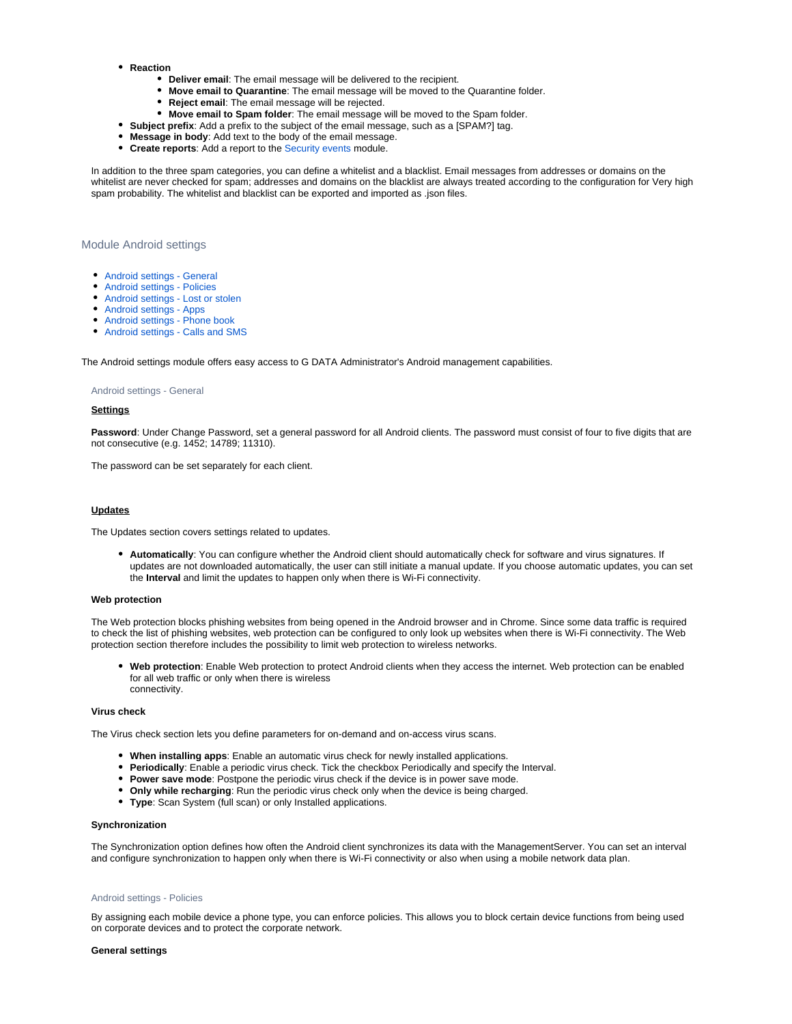- **Reaction**
	- **Deliver email**: The email message will be delivered to the recipient.
	- **Move email to Quarantine**: The email message will be moved to the Quarantine folder.
	- **Reject email**: The email message will be rejected.
	- **Move email to Spam folder**: The email message will be moved to the Spam folder.
- **Subject prefix**: Add a prefix to the subject of the email message, such as a [SPAM?] tag.
- **Message in body**: Add text to the body of the email message.
- **Create reports**: Add a report to the [Security events m](https://www.gdata.help/display/BS/Protokolle+-+Sicherheitsereignisse)odule.

In addition to the three spam categories, you can define a whitelist and a blacklist. Email messages from addresses or domains on the whitelist are never checked for spam; addresses and domains on the blacklist are always treated according to the configuration for Very high spam probability. The whitelist and blacklist can be exported and imported as .json files.

# <span id="page-10-0"></span>Module Android settings

- [Android settings General](#page-10-1)
- [Android settings Policies](#page-10-2)
- [Android settings Lost or stolen](#page-11-0)
- [Android settings Apps](#page-12-0)
- [Android settings Phone book](#page-12-1)  $\bullet$
- [Android settings Calls and SMS](#page-12-2)

<span id="page-10-1"></span>The Android settings module offers easy access to G DATA Administrator's Android management capabilities.

#### Android settings - General

#### **Settings**

Password: Under Change Password, set a general password for all Android clients. The password must consist of four to five digits that are not consecutive (e.g. 1452; 14789; 11310).

The password can be set separately for each client.

# **Updates**

The Updates section covers settings related to updates.

**Automatically**: You can configure whether the Android client should automatically check for software and virus signatures. If updates are not downloaded automatically, the user can still initiate a manual update. If you choose automatic updates, you can set the **Interval** and limit the updates to happen only when there is Wi-Fi connectivity.

#### **Web protection**

The Web protection blocks phishing websites from being opened in the Android browser and in Chrome. Since some data traffic is required to check the list of phishing websites, web protection can be configured to only look up websites when there is Wi-Fi connectivity. The Web protection section therefore includes the possibility to limit web protection to wireless networks.

**Web protection**: Enable Web protection to protect Android clients when they access the internet. Web protection can be enabled for all web traffic or only when there is wireless connectivity.

#### **Virus check**

The Virus check section lets you define parameters for on-demand and on-access virus scans.

- **When installing apps**: Enable an automatic virus check for newly installed applications.
- **Periodically**: Enable a periodic virus check. Tick the checkbox Periodically and specify the Interval.
- **Power save mode**: Postpone the periodic virus check if the device is in power save mode.
- **Only while recharging**: Run the periodic virus check only when the device is being charged.
- **Type**: Scan System (full scan) or only Installed applications.

#### **Synchronization**

The Synchronization option defines how often the Android client synchronizes its data with the ManagementServer. You can set an interval and configure synchronization to happen only when there is Wi-Fi connectivity or also when using a mobile network data plan.

# <span id="page-10-2"></span>Android settings - Policies

By assigning each mobile device a phone type, you can enforce policies. This allows you to block certain device functions from being used on corporate devices and to protect the corporate network.

#### **General settings**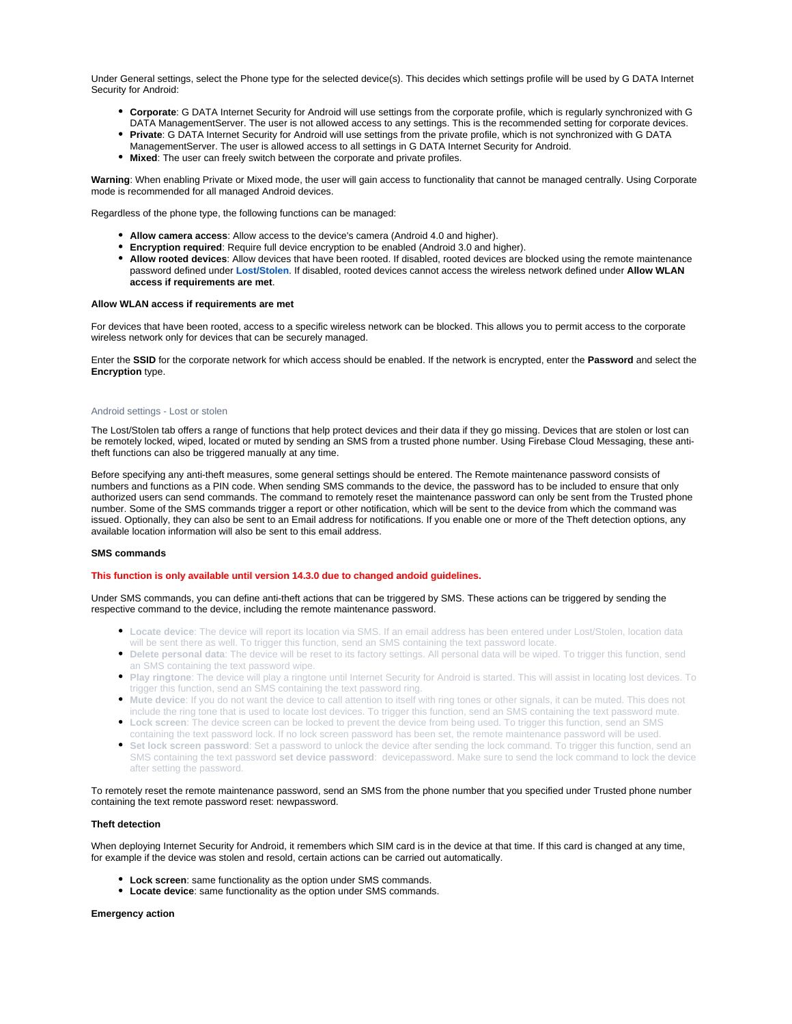Under General settings, select the Phone type for the selected device(s). This decides which settings profile will be used by G DATA Internet Security for Android:

- **Corporate**: G DATA Internet Security for Android will use settings from the corporate profile, which is regularly synchronized with G DATA ManagementServer. The user is not allowed access to any settings. This is the recommended setting for corporate devices.
- **Private**: G DATA Internet Security for Android will use settings from the private profile, which is not synchronized with G DATA
- ManagementServer. The user is allowed access to all settings in G DATA Internet Security for Android.
- **Mixed**: The user can freely switch between the corporate and private profiles.

**Warning**: When enabling Private or Mixed mode, the user will gain access to functionality that cannot be managed centrally. Using Corporate mode is recommended for all managed Android devices.

Regardless of the phone type, the following functions can be managed:

- **Allow camera access**: Allow access to the device's camera (Android 4.0 and higher).
- **Encryption required**: Require full device encryption to be enabled (Android 3.0 and higher).
- **Allow rooted devices**: Allow devices that have been rooted. If disabled, rooted devices are blocked using the remote maintenance password defined under **[Lost/Stolen](https://www.gdata.help/display/BS/Android-Einstellungen+-+Diebstahlschutz)**. If disabled, rooted devices cannot access the wireless network defined under **Allow WLAN access if requirements are met**.

# **Allow WLAN access if requirements are met**

For devices that have been rooted, access to a specific wireless network can be blocked. This allows you to permit access to the corporate wireless network only for devices that can be securely managed.

Enter the **SSID** for the corporate network for which access should be enabled. If the network is encrypted, enter the **Password** and select the **Encryption** type.

#### <span id="page-11-0"></span>Android settings - Lost or stolen

The Lost/Stolen tab offers a range of functions that help protect devices and their data if they go missing. Devices that are stolen or lost can be remotely locked, wiped, located or muted by sending an SMS from a trusted phone number. Using Firebase Cloud Messaging, these antitheft functions can also be triggered manually at any time.

Before specifying any anti-theft measures, some general settings should be entered. The Remote maintenance password consists of numbers and functions as a PIN code. When sending SMS commands to the device, the password has to be included to ensure that only authorized users can send commands. The command to remotely reset the maintenance password can only be sent from the Trusted phone number. Some of the SMS commands trigger a report or other notification, which will be sent to the device from which the command was issued. Optionally, they can also be sent to an Email address for notifications. If you enable one or more of the Theft detection options, any available location information will also be sent to this email address.

# **SMS commands**

# **This function is only available until version 14.3.0 due to changed andoid guidelines.**

Under SMS commands, you can define anti-theft actions that can be triggered by SMS. These actions can be triggered by sending the respective command to the device, including the remote maintenance password.

- **Locate device**: The device will report its location via SMS. If an email address has been entered under Lost/Stolen, location data will be sent there as well. To trigger this function, send an SMS containing the text password locate.
- **Delete personal data**: The device will be reset to its factory settings. All personal data will be wiped. To trigger this function, send an SMS containing the text password wipe.
- **Play ringtone**: The device will play a ringtone until Internet Security for Android is started. This will assist in locating lost devices. To trigger this function, send an SMS containing the text password ring.
- **Mute device**: If you do not want the device to call attention to itself with ring tones or other signals, it can be muted. This does not include the ring tone that is used to locate lost devices. To trigger this function, send an SMS containing the text password mute.
- **Lock screen**: The device screen can be locked to prevent the device from being used. To trigger this function, send an SMS containing the text password lock. If no lock screen password has been set, the remote maintenance password will be used.
- **Set lock screen password**: Set a password to unlock the device after sending the lock command. To trigger this function, send an SMS containing the text password **set device password**: devicepassword. Make sure to send the lock command to lock the device after setting the password.

To remotely reset the remote maintenance password, send an SMS from the phone number that you specified under Trusted phone number containing the text remote password reset: newpassword.

#### **Theft detection**

When deploying Internet Security for Android, it remembers which SIM card is in the device at that time. If this card is changed at any time, for example if the device was stolen and resold, certain actions can be carried out automatically.

- **Lock screen**: same functionality as the option under SMS commands.
- **Locate device**: same functionality as the option under SMS commands.

#### **Emergency action**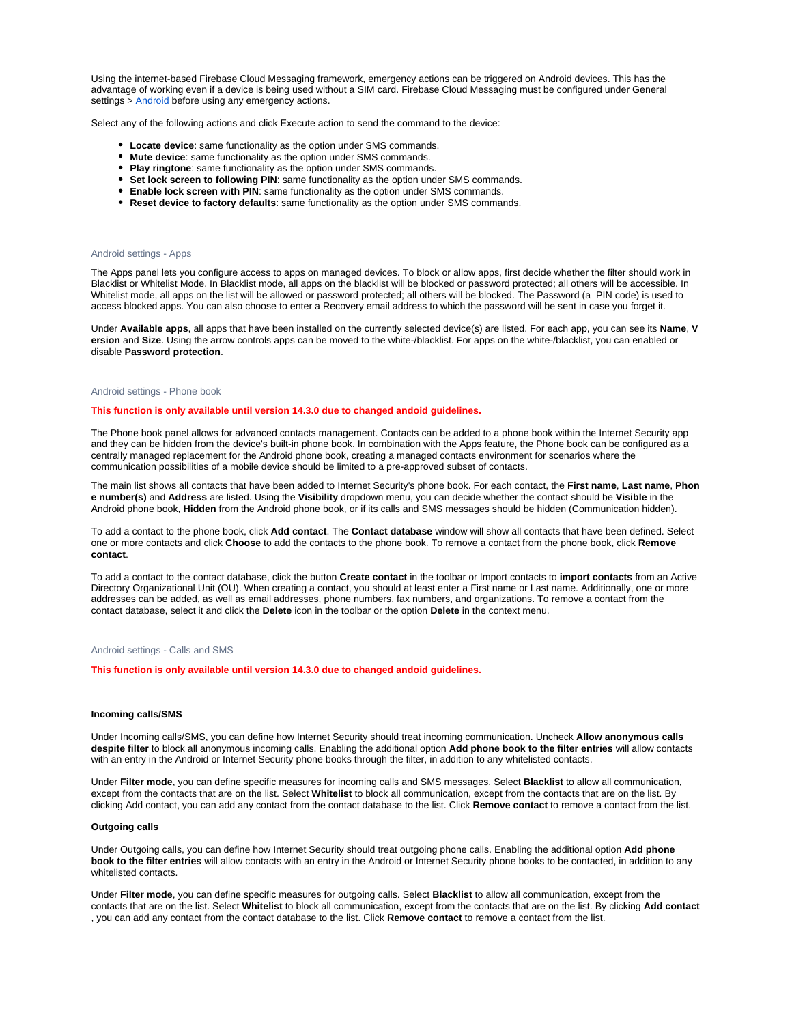Using the internet-based Firebase Cloud Messaging framework, emergency actions can be triggered on Android devices. This has the advantage of working even if a device is being used without a SIM card. Firebase Cloud Messaging must be configured under General settings > [Android b](https://www.gdata.help/display/BS/Allgemeine+Einstellungen+-+Android)efore using any emergency actions.

Select any of the following actions and click Execute action to send the command to the device:

- **Locate device**: same functionality as the option under SMS commands.
- **Mute device**: same functionality as the option under SMS commands.
- **Play ringtone**: same functionality as the option under SMS commands.
- **Set lock screen to following PIN**: same functionality as the option under SMS commands.
- **Enable lock screen with PIN**: same functionality as the option under SMS commands.
- **Reset device to factory defaults**: same functionality as the option under SMS commands.

#### <span id="page-12-0"></span>Android settings - Apps

The Apps panel lets you configure access to apps on managed devices. To block or allow apps, first decide whether the filter should work in Blacklist or Whitelist Mode. In Blacklist mode, all apps on the blacklist will be blocked or password protected; all others will be accessible. In Whitelist mode, all apps on the list will be allowed or password protected; all others will be blocked. The Password (a PIN code) is used to access blocked apps. You can also choose to enter a Recovery email address to which the password will be sent in case you forget it.

Under **Available apps**, all apps that have been installed on the currently selected device(s) are listed. For each app, you can see its **Name**, **V ersion** and **Size**. Using the arrow controls apps can be moved to the white-/blacklist. For apps on the white-/blacklist, you can enabled or disable **Password protection**.

#### <span id="page-12-1"></span>Android settings - Phone book

### **This function is only available until version 14.3.0 due to changed andoid guidelines.**

The Phone book panel allows for advanced contacts management. Contacts can be added to a phone book within the Internet Security app and they can be hidden from the device's built-in phone book. In combination with the Apps feature, the Phone book can be configured as a centrally managed replacement for the Android phone book, creating a managed contacts environment for scenarios where the communication possibilities of a mobile device should be limited to a pre-approved subset of contacts.

The main list shows all contacts that have been added to Internet Security's phone book. For each contact, the **First name**, **Last name**, **Phon e number(s)** and **Address** are listed. Using the **Visibility** dropdown menu, you can decide whether the contact should be **Visible** in the Android phone book, **Hidden** from the Android phone book, or if its calls and SMS messages should be hidden (Communication hidden).

To add a contact to the phone book, click **Add contact**. The **Contact database** window will show all contacts that have been defined. Select one or more contacts and click **Choose** to add the contacts to the phone book. To remove a contact from the phone book, click **Remove contact**.

To add a contact to the contact database, click the button **Create contact** in the toolbar or Import contacts to **import contacts** from an Active Directory Organizational Unit (OU). When creating a contact, you should at least enter a First name or Last name. Additionally, one or more addresses can be added, as well as email addresses, phone numbers, fax numbers, and organizations. To remove a contact from the contact database, select it and click the **Delete** icon in the toolbar or the option **Delete** in the context menu.

#### <span id="page-12-2"></span>Android settings - Calls and SMS

**This function is only available until version 14.3.0 due to changed andoid guidelines.**

#### **Incoming calls/SMS**

Under Incoming calls/SMS, you can define how Internet Security should treat incoming communication. Uncheck **Allow anonymous calls despite filter** to block all anonymous incoming calls. Enabling the additional option **Add phone book to the filter entries** will allow contacts with an entry in the Android or Internet Security phone books through the filter, in addition to any whitelisted contacts.

Under **Filter mode**, you can define specific measures for incoming calls and SMS messages. Select **Blacklist** to allow all communication, except from the contacts that are on the list. Select **Whitelist** to block all communication, except from the contacts that are on the list. By clicking Add contact, you can add any contact from the contact database to the list. Click **Remove contact** to remove a contact from the list.

# **Outgoing calls**

Under Outgoing calls, you can define how Internet Security should treat outgoing phone calls. Enabling the additional option **Add phone book to the filter entries** will allow contacts with an entry in the Android or Internet Security phone books to be contacted, in addition to any whitelisted contacts.

Under **Filter mode**, you can define specific measures for outgoing calls. Select **Blacklist** to allow all communication, except from the contacts that are on the list. Select **Whitelist** to block all communication, except from the contacts that are on the list. By clicking **Add contact** , you can add any contact from the contact database to the list. Click **Remove contact** to remove a contact from the list.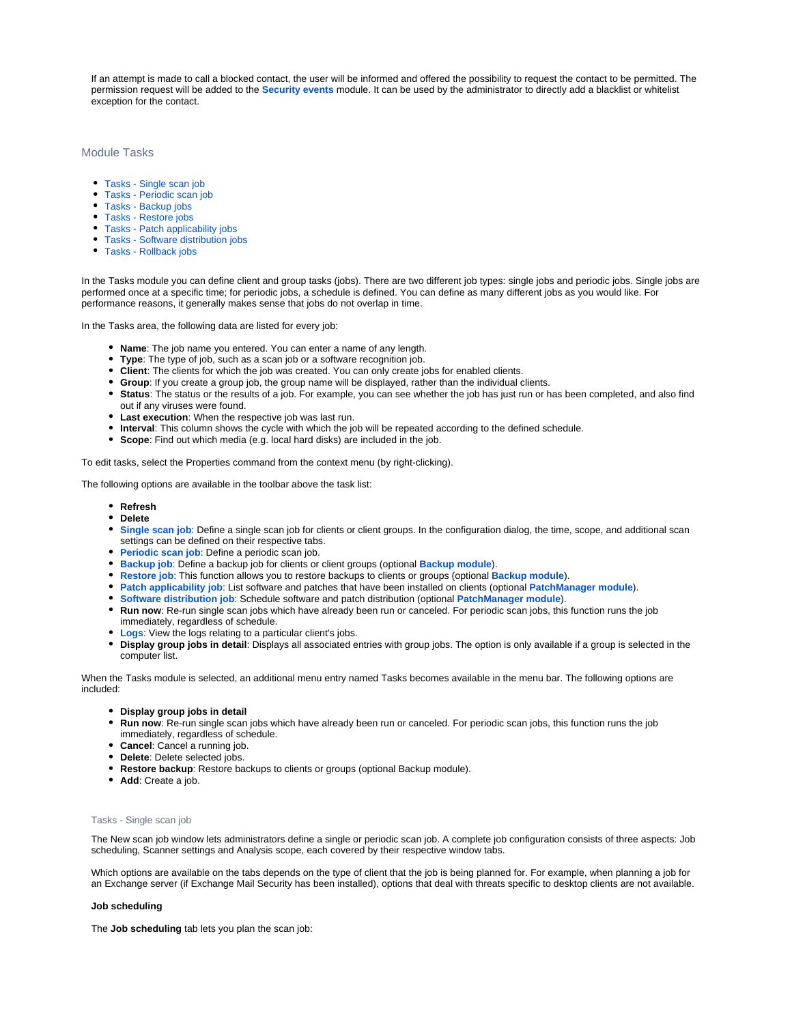If an attempt is made to call a blocked contact, the user will be informed and offered the possibility to request the contact to be permitted. The permission request will be added to the **[Security events](https://www.gdata.help/display/BS/Protokolle+-+Sicherheitsereignisse)** module. It can be used by the administrator to directly add a blacklist or whitelist exception for the contact.

# <span id="page-13-0"></span>Module Tasks

- [Tasks Single scan job](#page-13-1)
- [Tasks Periodic scan job](#page-14-0)
- [Tasks Backup jobs](#page-15-0)
- [Tasks Restore jobs](#page-16-0)
- [Tasks Patch applicability jobs](#page-16-1)
- [Tasks Software distribution jobs](#page-16-2)
- [Tasks Rollback jobs](#page-16-3)

In the Tasks module you can define client and group tasks (jobs). There are two different job types: single jobs and periodic jobs. Single jobs are performed once at a specific time; for periodic jobs, a schedule is defined. You can define as many different jobs as you would like. For performance reasons, it generally makes sense that jobs do not overlap in time.

In the Tasks area, the following data are listed for every job:

- **Name**: The job name you entered. You can enter a name of any length.
- **Type**: The type of job, such as a scan job or a software recognition job.
- **Client**: The clients for which the job was created. You can only create jobs for enabled clients.
- **Group**: If you create a group job, the group name will be displayed, rather than the individual clients.
- **Status**: The status or the results of a job. For example, you can see whether the job has just run or has been completed, and also find out if any viruses were found.
- **Last execution**: When the respective job was last run.
- **Interval**: This column shows the cycle with which the job will be repeated according to the defined schedule.
- **Scope**: Find out which media (e.g. local hard disks) are included in the job.

To edit tasks, select the Properties command from the context menu (by right-clicking).

The following options are available in the toolbar above the task list:

- **Refresh**
- **Delete**
- **[Single](https://www.gdata.help/display/BS/Auftraege+-+Einmaliger+Scan-Auftrag) scan job**: Define a single scan job for clients or client groups. In the configuration dialog, the time, scope, and additional scan settings can be defined on their respective tabs.
- **[Periodic scan job](https://www.gdata.help/display/BS/Auftraege+-+Periodischer+Scan-Auftrag)**: Define a periodic scan job.
- **[Backup job](https://www.gdata.help/display/BS/Auftraege+-+Backupauftrag)**: Define a backup job for clients or client groups (optional **[Backup module](https://www.gdata.help/display/BS/Allgemeine+Einstellungen+-+Backup)**).
- **[Restore job](https://www.gdata.help/display/BS/Auftraege+-+Wiederherstellungsauftrag)**: This function allows you to restore backups to clients or groups (optional **[Backup module](https://www.gdata.help/display/BS/Allgemeine+Einstellungen+-+Backup)**).
- **[Patch applicability job](https://www.gdata.help/display/BS/Auftraege+-+Softwareerkennungsauftrag)**: List software and patches that have been installed on clients (optional **[PatchManager module](https://www.gdata.help/display/BS/Modul+PatchManager)**).
- **[Software distribution job](https://www.gdata.help/display/BS/Auftraege+-+Softwareverteilungsauftrag)**: Schedule software and patch distribution (optional **[PatchManager module](https://www.gdata.help/display/BS/Modul+PatchManager)**).
- **Run now**: Re-run single scan jobs which have already been run or canceled. For periodic scan jobs, this function runs the job immediately, regardless of schedule.
- **[Logs](https://www.gdata.help/display/BS/Modul+Protokolle)**: View the logs relating to a particular client's jobs.
- **Display group jobs in detail**: Displays all associated entries with group jobs. The option is only available if a group is selected in the computer list.

When the Tasks module is selected, an additional menu entry named Tasks becomes available in the menu bar. The following options are included:

- **Display group jobs in detail**
- **Run now**: Re-run single scan jobs which have already been run or canceled. For periodic scan jobs, this function runs the job immediately, regardless of schedule.
- **Cancel**: Cancel a running job.
- **Delete**: Delete selected jobs.
- **Restore backup**: Restore backups to clients or groups (optional Backup module).
- **Add**: Create a job.

# <span id="page-13-1"></span>Tasks - Single scan job

The New scan job window lets administrators define a single or periodic scan job. A complete job configuration consists of three aspects: Job scheduling, Scanner settings and Analysis scope, each covered by their respective window tabs.

Which options are available on the tabs depends on the type of client that the job is being planned for. For example, when planning a job for an Exchange server (if Exchange Mail Security has been installed), options that deal with threats specific to desktop clients are not available.

#### **Job scheduling**

The **Job scheduling** tab lets you plan the scan job: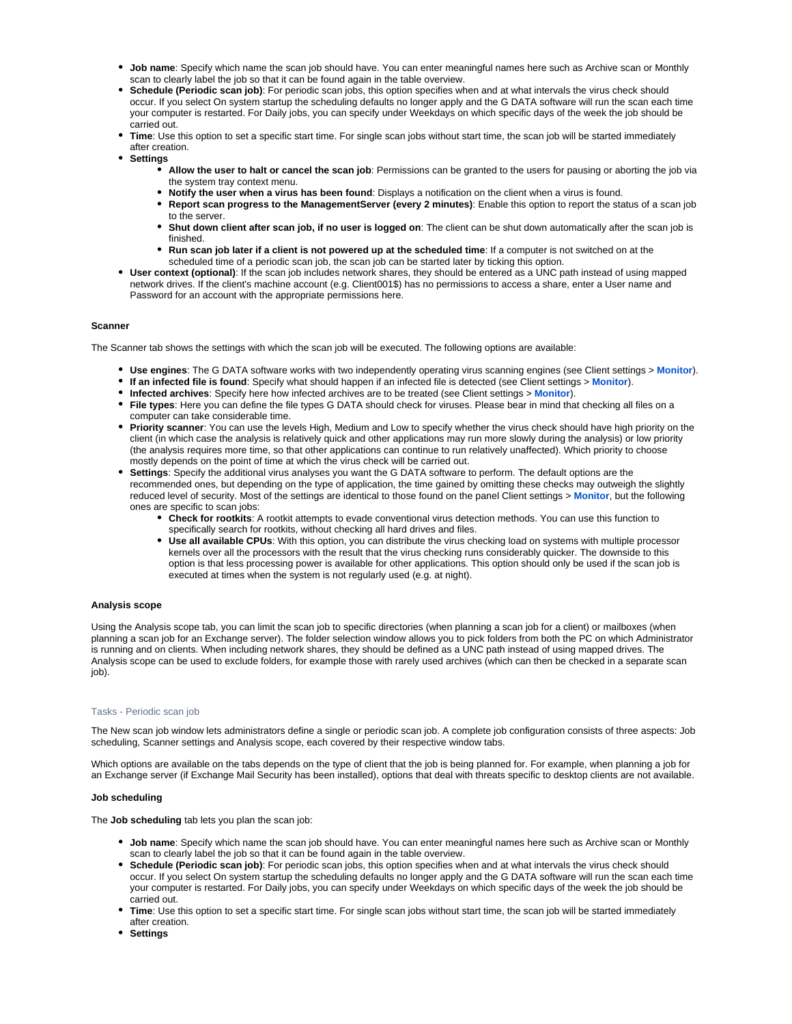- **Job name**: Specify which name the scan job should have. You can enter meaningful names here such as Archive scan or Monthly scan to clearly label the job so that it can be found again in the table overview.
- **Schedule (Periodic scan job)**: For periodic scan jobs, this option specifies when and at what intervals the virus check should occur. If you select On system startup the scheduling defaults no longer apply and the G DATA software will run the scan each time your computer is restarted. For Daily jobs, you can specify under Weekdays on which specific days of the week the job should be carried out.
- **Time**: Use this option to set a specific start time. For single scan jobs without start time, the scan job will be started immediately after creation.
- **Settings**
	- **Allow the user to halt or cancel the scan job**: Permissions can be granted to the users for pausing or aborting the job via the system tray context menu.
	- **Notify the user when a virus has been found**: Displays a notification on the client when a virus is found.
	- **Report scan progress to the ManagementServer (every 2 minutes)**: Enable this option to report the status of a scan job to the server.
	- **Shut down client after scan job, if no user is logged on**: The client can be shut down automatically after the scan job is finished.
	- **Run scan job later if a client is not powered up at the scheduled time**: If a computer is not switched on at the scheduled time of a periodic scan job, the scan job can be started later by ticking this option.
- **User context (optional)**: If the scan job includes network shares, they should be entered as a UNC path instead of using mapped network drives. If the client's machine account (e.g. Client001\$) has no permissions to access a share, enter a User name and Password for an account with the appropriate permissions here.

# **Scanner**

The Scanner tab shows the settings with which the scan job will be executed. The following options are available:

- **Use engines**: The G DATA software works with two independently operating virus scanning engines (see Client settings > **[Monitor](https://www.gdata.help/display/BS/Client-Einstellungen+-+Waechter)**).
- **If an infected file is found**: Specify what should happen if an infected file is detected (see Client settings > **[Monitor](https://www.gdata.help/display/BS/Client-Einstellungen+-+Waechter)**).
- **Infected archives**: Specify here how infected archives are to be treated (see Client settings > **[Monitor](https://www.gdata.help/display/BS/Client-Einstellungen+-+Waechter)**).
- **File types**: Here you can define the file types G DATA should check for viruses. Please bear in mind that checking all files on a computer can take considerable time.
- **Priority scanner**: You can use the levels High, Medium and Low to specify whether the virus check should have high priority on the client (in which case the analysis is relatively quick and other applications may run more slowly during the analysis) or low priority (the analysis requires more time, so that other applications can continue to run relatively unaffected). Which priority to choose mostly depends on the point of time at which the virus check will be carried out.
- **Settings**: Specify the additional virus analyses you want the G DATA software to perform. The default options are the recommended ones, but depending on the type of application, the time gained by omitting these checks may outweigh the slightly reduced level of security. Most of the settings are identical to those found on the panel Client settings > **[Monitor](https://www.gdata.help/display/BS/Client-Einstellungen+-+Waechter)**, but the following ones are specific to scan jobs:
	- **Check for rootkits**: A rootkit attempts to evade conventional virus detection methods. You can use this function to specifically search for rootkits, without checking all hard drives and files.
	- **Use all available CPUs**: With this option, you can distribute the virus checking load on systems with multiple processor kernels over all the processors with the result that the virus checking runs considerably quicker. The downside to this option is that less processing power is available for other applications. This option should only be used if the scan job is executed at times when the system is not regularly used (e.g. at night).

# **Analysis scope**

Using the Analysis scope tab, you can limit the scan job to specific directories (when planning a scan job for a client) or mailboxes (when planning a scan job for an Exchange server). The folder selection window allows you to pick folders from both the PC on which Administrator is running and on clients. When including network shares, they should be defined as a UNC path instead of using mapped drives. The Analysis scope can be used to exclude folders, for example those with rarely used archives (which can then be checked in a separate scan job).

#### <span id="page-14-0"></span>Tasks - Periodic scan job

The New scan job window lets administrators define a single or periodic scan job. A complete job configuration consists of three aspects: Job scheduling, Scanner settings and Analysis scope, each covered by their respective window tabs.

Which options are available on the tabs depends on the type of client that the job is being planned for. For example, when planning a job for an Exchange server (if Exchange Mail Security has been installed), options that deal with threats specific to desktop clients are not available.

# **Job scheduling**

The **Job scheduling** tab lets you plan the scan job:

- **Job name**: Specify which name the scan job should have. You can enter meaningful names here such as Archive scan or Monthly scan to clearly label the job so that it can be found again in the table overview.
- **Schedule (Periodic scan job)**: For periodic scan jobs, this option specifies when and at what intervals the virus check should occur. If you select On system startup the scheduling defaults no longer apply and the G DATA software will run the scan each time your computer is restarted. For Daily jobs, you can specify under Weekdays on which specific days of the week the job should be carried out.
- **Time**: Use this option to set a specific start time. For single scan jobs without start time, the scan job will be started immediately after creation.
- **Settings**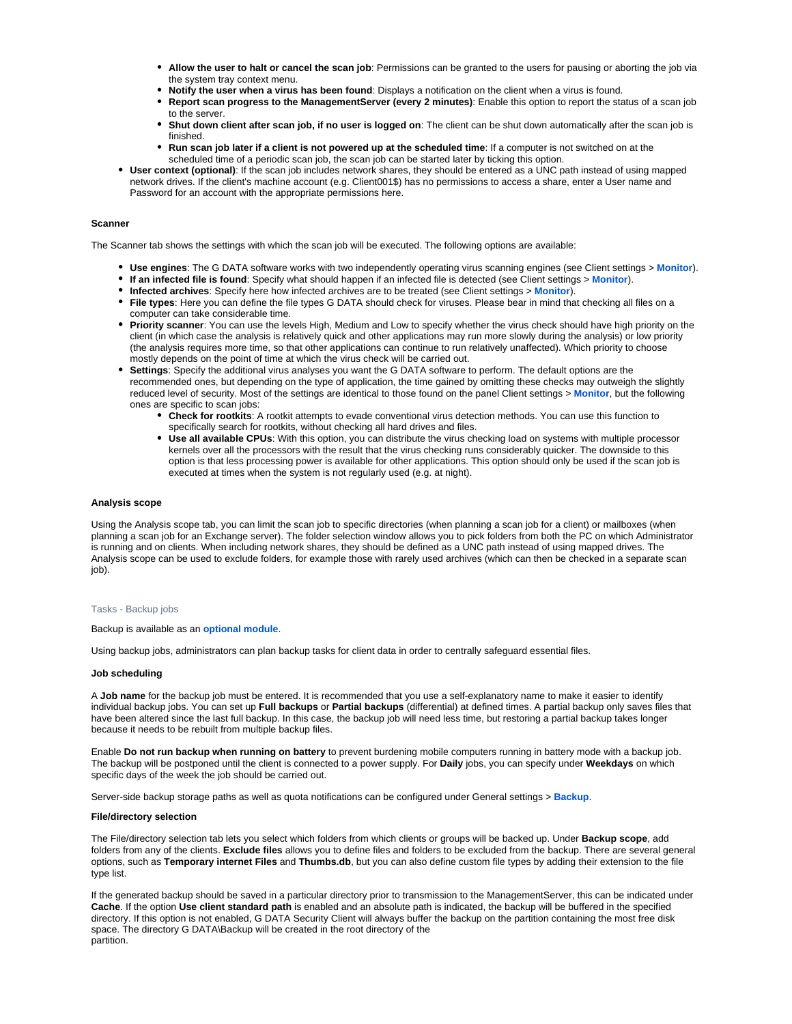- **Allow the user to halt or cancel the scan job**: Permissions can be granted to the users for pausing or aborting the job via the system tray context menu.
- **Notify the user when a virus has been found**: Displays a notification on the client when a virus is found.
- **Report scan progress to the ManagementServer (every 2 minutes)**: Enable this option to report the status of a scan job to the server.
- **Shut down client after scan job, if no user is logged on**: The client can be shut down automatically after the scan job is finished.
- **Run scan job later if a client is not powered up at the scheduled time**: If a computer is not switched on at the scheduled time of a periodic scan job, the scan job can be started later by ticking this option.
- **User context (optional)**: If the scan job includes network shares, they should be entered as a UNC path instead of using mapped network drives. If the client's machine account (e.g. Client001\$) has no permissions to access a share, enter a User name and Password for an account with the appropriate permissions here.

# **Scanner**

The Scanner tab shows the settings with which the scan job will be executed. The following options are available:

- **Use engines**: The G DATA software works with two independently operating virus scanning engines (see Client settings > **[Monitor](https://www.gdata.help/display/BS/Client-Einstellungen+-+Waechter)**).
- **If an infected file is found**: Specify what should happen if an infected file is detected (see Client settings > **[Monitor](https://www.gdata.help/display/BS/Client-Einstellungen+-+Waechter)**).
- **Infected archives**: Specify here how infected archives are to be treated (see Client settings > **[Monitor](https://www.gdata.help/display/BS/Client-Einstellungen+-+Waechter)**).
- **File types**: Here you can define the file types G DATA should check for viruses. Please bear in mind that checking all files on a computer can take considerable time.
- **Priority scanner**: You can use the levels High, Medium and Low to specify whether the virus check should have high priority on the client (in which case the analysis is relatively quick and other applications may run more slowly during the analysis) or low priority (the analysis requires more time, so that other applications can continue to run relatively unaffected). Which priority to choose mostly depends on the point of time at which the virus check will be carried out.
- **Settings**: Specify the additional virus analyses you want the G DATA software to perform. The default options are the recommended ones, but depending on the type of application, the time gained by omitting these checks may outweigh the slightly reduced level of security. Most of the settings are identical to those found on the panel Client settings > **[Monitor](https://www.gdata.help/display/BS/Client-Einstellungen+-+Waechter)**, but the following ones are specific to scan jobs:
	- **Check for rootkits**: A rootkit attempts to evade conventional virus detection methods. You can use this function to specifically search for rootkits, without checking all hard drives and files.
	- **Use all available CPUs**: With this option, you can distribute the virus checking load on systems with multiple processor kernels over all the processors with the result that the virus checking runs considerably quicker. The downside to this option is that less processing power is available for other applications. This option should only be used if the scan job is executed at times when the system is not regularly used (e.g. at night).

# **Analysis scope**

Using the Analysis scope tab, you can limit the scan job to specific directories (when planning a scan job for a client) or mailboxes (when planning a scan job for an Exchange server). The folder selection window allows you to pick folders from both the PC on which Administrator is running and on clients. When including network shares, they should be defined as a UNC path instead of using mapped drives. The Analysis scope can be used to exclude folders, for example those with rarely used archives (which can then be checked in a separate scan iob).

#### <span id="page-15-0"></span>Tasks - Backup jobs

Backup is available as an **[optional module](https://www.gdata.help/display/BS/G+DATA+Business+Solutions+-+Lizenzierung)**.

Using backup jobs, administrators can plan backup tasks for client data in order to centrally safeguard essential files.

#### **Job scheduling**

A **Job name** for the backup job must be entered. It is recommended that you use a self-explanatory name to make it easier to identify individual backup jobs. You can set up **Full backups** or **Partial backups** (differential) at defined times. A partial backup only saves files that have been altered since the last full backup. In this case, the backup job will need less time, but restoring a partial backup takes longer because it needs to be rebuilt from multiple backup files.

Enable **Do not run backup when running on battery** to prevent burdening mobile computers running in battery mode with a backup job. The backup will be postponed until the client is connected to a power supply. For **Daily** jobs, you can specify under **Weekdays** on which specific days of the week the job should be carried out.

Server-side backup storage paths as well as quota notifications can be configured under General settings > **[Backup](https://www.gdata.help/display/BS/Allgemeine+Einstellungen+-+Backup)**.

# **File/directory selection**

The File/directory selection tab lets you select which folders from which clients or groups will be backed up. Under **Backup scope**, add folders from any of the clients. **Exclude files** allows you to define files and folders to be excluded from the backup. There are several general options, such as **Temporary internet Files** and **Thumbs.db**, but you can also define custom file types by adding their extension to the file type list.

If the generated backup should be saved in a particular directory prior to transmission to the ManagementServer, this can be indicated under **Cache**. If the option **Use client standard path** is enabled and an absolute path is indicated, the backup will be buffered in the specified directory. If this option is not enabled, G DATA Security Client will always buffer the backup on the partition containing the most free disk space. The directory G DATA\Backup will be created in the root directory of the partition.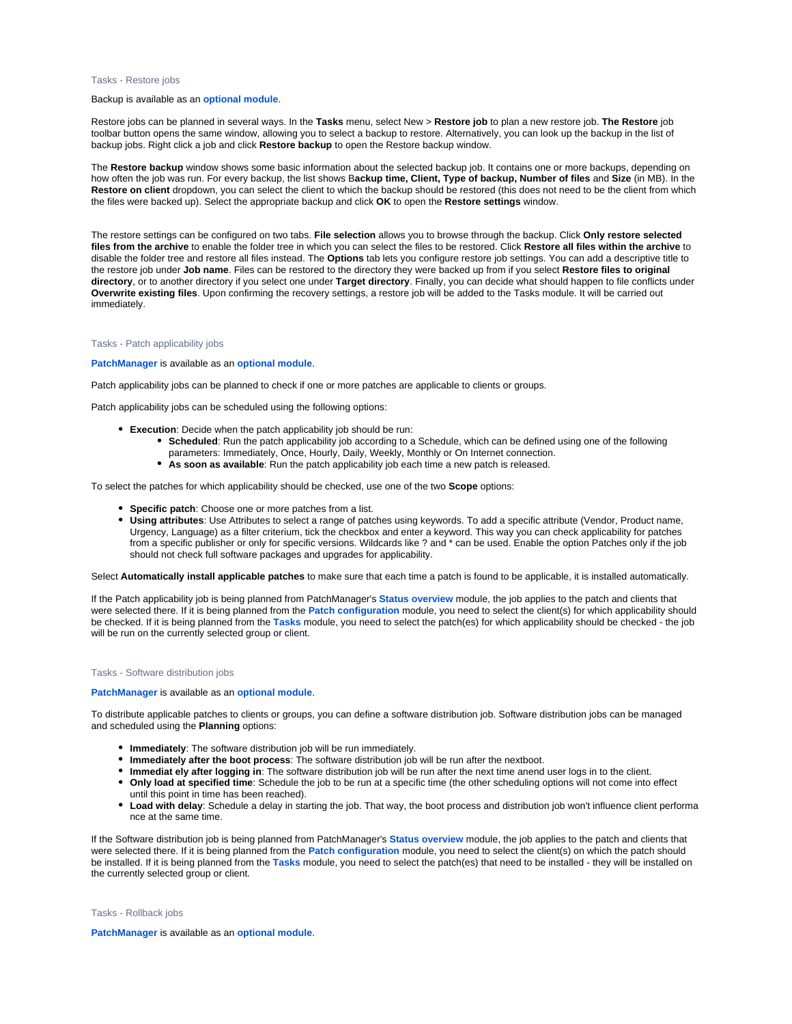#### <span id="page-16-0"></span>Tasks - Restore jobs

#### Backup is available as an **[optional module](https://www.gdata.help/display/BS/G+DATA+Business+Solutions+-+Lizenzierung)**.

Restore jobs can be planned in several ways. In the **Tasks** menu, select New > **Restore job** to plan a new restore job. **The Restore** job toolbar button opens the same window, allowing you to select a backup to restore. Alternatively, you can look up the backup in the list of backup jobs. Right click a job and click **Restore backup** to open the Restore backup window.

The **Restore backup** window shows some basic information about the selected backup job. It contains one or more backups, depending on how often the job was run. For every backup, the list shows B**ackup time, Client, Type of backup, Number of files** and **Size** (in MB). In the **Restore on client** dropdown, you can select the client to which the backup should be restored (this does not need to be the client from which the files were backed up). Select the appropriate backup and click **OK** to open the **Restore settings** window.

The restore settings can be configured on two tabs. **File selection** allows you to browse through the backup. Click **Only restore selected files from the archive** to enable the folder tree in which you can select the files to be restored. Click **Restore all files within the archive** to disable the folder tree and restore all files instead. The **Options** tab lets you configure restore job settings. You can add a descriptive title to the restore job under **Job name**. Files can be restored to the directory they were backed up from if you select **Restore files to original directory**, or to another directory if you select one under **Target directory**. Finally, you can decide what should happen to file conflicts under **Overwrite existing files**. Upon confirming the recovery settings, a restore job will be added to the Tasks module. It will be carried out immediately.

#### <span id="page-16-1"></span>Tasks - Patch applicability jobs

#### **[PatchManager](https://www.gdata.help/display/BS/PatchManager+-+Status-Uebersicht)** is available as an **[optional module](https://www.gdata.help/display/BS/G+DATA+Business+Solutions+-+Lizenzierung)**.

Patch applicability jobs can be planned to check if one or more patches are applicable to clients or groups.

Patch applicability jobs can be scheduled using the following options:

- **Execution**: Decide when the patch applicability job should be run:
	- **Scheduled**: Run the patch applicability job according to a Schedule, which can be defined using one of the following parameters: Immediately, Once, Hourly, Daily, Weekly, Monthly or On Internet connection.
	- **As soon as available**: Run the patch applicability job each time a new patch is released.

To select the patches for which applicability should be checked, use one of the two **Scope** options:

- **Specific patch**: Choose one or more patches from a list.
- **Using attributes**: Use Attributes to select a range of patches using keywords. To add a specific attribute (Vendor, Product name, Urgency, Language) as a filter criterium, tick the checkbox and enter a keyword. This way you can check applicability for patches from a specific publisher or only for specific versions. Wildcards like ? and \* can be used. Enable the option Patches only if the job should not check full software packages and upgrades for applicability.

Select **Automatically install applicable patches** to make sure that each time a patch is found to be applicable, it is installed automatically.

If the Patch applicability job is being planned from PatchManager's **[Status overview](https://www.gdata.help/display/BS/PatchManager+-+Status-Uebersicht)** module, the job applies to the patch and clients that were selected there. If it is being planned from the **[Patch configuration](https://www.gdata.help/display/BS/PatchManager+-+Patch-Konfiguration)** module, you need to select the client(s) for which applicability should be checked. If it is being planned from the **[Tasks](https://www.gdata.help/display/BS/Modul+Auftraege)** module, you need to select the patch(es) for which applicability should be checked - the job will be run on the currently selected group or client.

#### <span id="page-16-2"></span>Tasks - Software distribution jobs

#### **[PatchManager](https://www.gdata.help/display/BS/Modul+PatchManager)** is available as an **[optional module](https://www.gdata.help/display/BS/G+DATA+Business+Solutions+-+Lizenzierung)**.

To distribute applicable patches to clients or groups, you can define a software distribution job. Software distribution jobs can be managed and scheduled using the **Planning** options:

- **Immediately**: The software distribution job will be run immediately.
- **Immediately after the boot process**: The software distribution job will be run after the nextboot.
- **Immediat ely after logging in**: The software distribution job will be run after the next time anend user logs in to the client.
- **Only load at specified time**: Schedule the job to be run at a specific time (the other scheduling options will not come into effect until this point in time has been reached).
- **Load with delay**: Schedule a delay in starting the job. That way, the boot process and distribution job won't influence client performa nce at the same time.

If the Software distribution job is being planned from PatchManager's **[Status overview](https://www.gdata.help/display/BS/PatchManager+-+Status-Uebersicht)** module, the job applies to the patch and clients that were selected there. If it is being planned from the **[Patch configuration](https://www.gdata.help/display/BS/Modul+PatchManager)** module, you need to select the client(s) on which the patch should be installed. If it is being planned from the **[Tasks](https://www.gdata.help/display/BS/Modul+Auftraege)** module, you need to select the patch(es) that need to be installed - they will be installed on the currently selected group or client.

#### <span id="page-16-3"></span>Tasks - Rollback jobs

**[PatchManager](https://www.gdata.help/display/BS/PatchManager+-+Status-Uebersicht)** is available as an **[optional module](https://www.gdata.help/display/BS/G+DATA+Business+Solutions+-+Lizenzierung)**.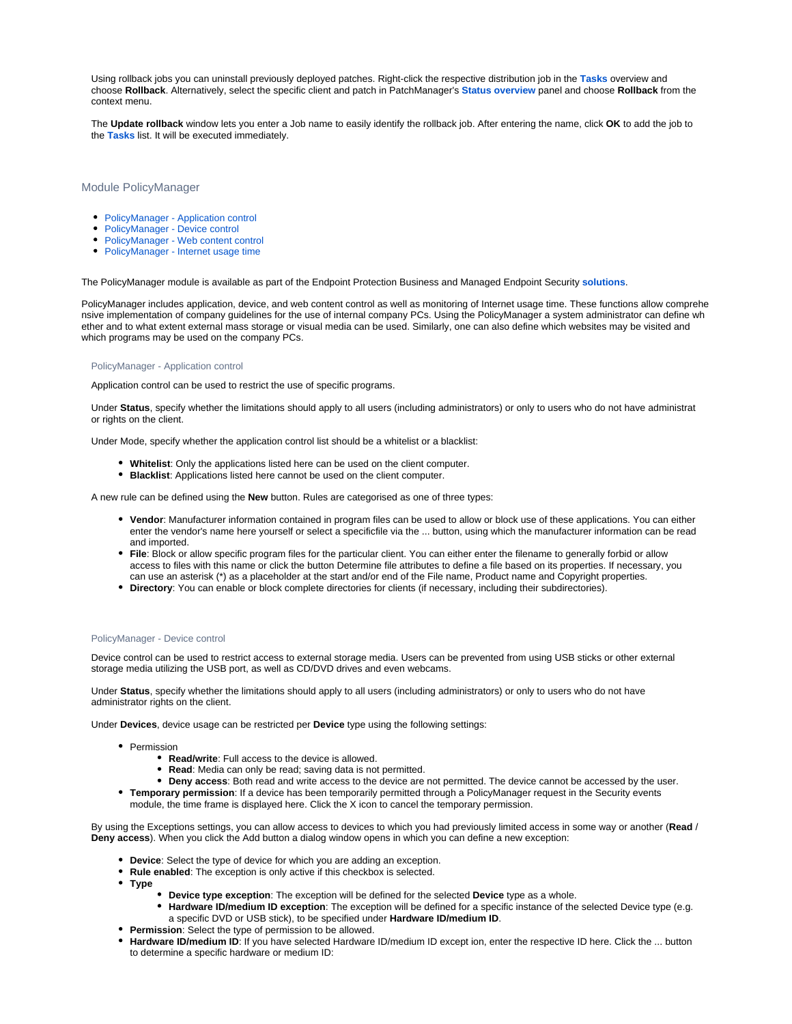Using rollback jobs you can uninstall previously deployed patches. Right-click the respective distribution job in the **[Tasks](https://www.gdata.help/display/BS/Modul+Auftraege)** overview and choose **Rollback**. Alternatively, select the specific client and patch in PatchManager's **[Status overview](https://www.gdata.help/display/BS/PatchManager+-+Status-Uebersicht)** panel and choose **Rollback** from the context menu.

The **Update rollback** window lets you enter a Job name to easily identify the rollback job. After entering the name, click **OK** to add the job to the **[Tasks](https://www.gdata.help/display/BS/Modul+Auftraege)** list. It will be executed immediately.

# <span id="page-17-0"></span>Module PolicyManager

- [PolicyManager Application control](#page-17-1)
- [PolicyManager Device control](#page-17-2)
- [PolicyManager Web content control](#page-18-0)
- [PolicyManager Internet usage time](#page-18-1)

The PolicyManager module is available as part of the Endpoint Protection Business and Managed Endpoint Security **[solutions](https://www.gdata.help/display/BS/G+DATA+Business+Solutions+-+Lizenzierung)**.

PolicyManager includes application, device, and web content control as well as monitoring of Internet usage time. These functions allow comprehe nsive implementation of company guidelines for the use of internal company PCs. Using the PolicyManager a system administrator can define wh ether and to what extent external mass storage or visual media can be used. Similarly, one can also define which websites may be visited and which programs may be used on the company PCs.

#### <span id="page-17-1"></span>PolicyManager - Application control

Application control can be used to restrict the use of specific programs.

Under **Status**, specify whether the limitations should apply to all users (including administrators) or only to users who do not have administrat or rights on the client.

Under Mode, specify whether the application control list should be a whitelist or a blacklist:

- **Whitelist**: Only the applications listed here can be used on the client computer.
- **Blacklist**: Applications listed here cannot be used on the client computer.

A new rule can be defined using the **New** button. Rules are categorised as one of three types:

- **Vendor**: Manufacturer information contained in program files can be used to allow or block use of these applications. You can either enter the vendor's name here yourself or select a specificfile via the ... button, using which the manufacturer information can be read and imported.
- **File**: Block or allow specific program files for the particular client. You can either enter the filename to generally forbid or allow access to files with this name or click the button Determine file attributes to define a file based on its properties. If necessary, you can use an asterisk (\*) as a placeholder at the start and/or end of the File name, Product name and Copyright properties.
- **Directory**: You can enable or block complete directories for clients (if necessary, including their subdirectories).

#### <span id="page-17-2"></span>PolicyManager - Device control

Device control can be used to restrict access to external storage media. Users can be prevented from using USB sticks or other external storage media utilizing the USB port, as well as CD/DVD drives and even webcams.

Under **Status**, specify whether the limitations should apply to all users (including administrators) or only to users who do not have administrator rights on the client.

Under **Devices**, device usage can be restricted per **Device** type using the following settings:

- Permission
	- **Read/write**: Full access to the device is allowed.
	- **Read**: Media can only be read; saving data is not permitted.
	- **Deny access**: Both read and write access to the device are not permitted. The device cannot be accessed by the user.
- **Temporary permission**: If a device has been temporarily permitted through a PolicyManager request in the Security events module, the time frame is displayed here. Click the X icon to cancel the temporary permission.

By using the Exceptions settings, you can allow access to devices to which you had previously limited access in some way or another (**Read** / **Deny access**). When you click the Add button a dialog window opens in which you can define a new exception:

- **Device**: Select the type of device for which you are adding an exception.
- **Rule enabled**: The exception is only active if this checkbox is selected.
- **Type**
	- **Device type exception**: The exception will be defined for the selected **Device** type as a whole.
	- **Hardware ID/medium ID exception**: The exception will be defined for a specific instance of the selected Device type (e.g. a specific DVD or USB stick), to be specified under **Hardware ID/medium ID**.
- **Permission**: Select the type of permission to be allowed.
- **Hardware ID/medium ID**: If you have selected Hardware ID/medium ID except ion, enter the respective ID here. Click the ... button to determine a specific hardware or medium ID: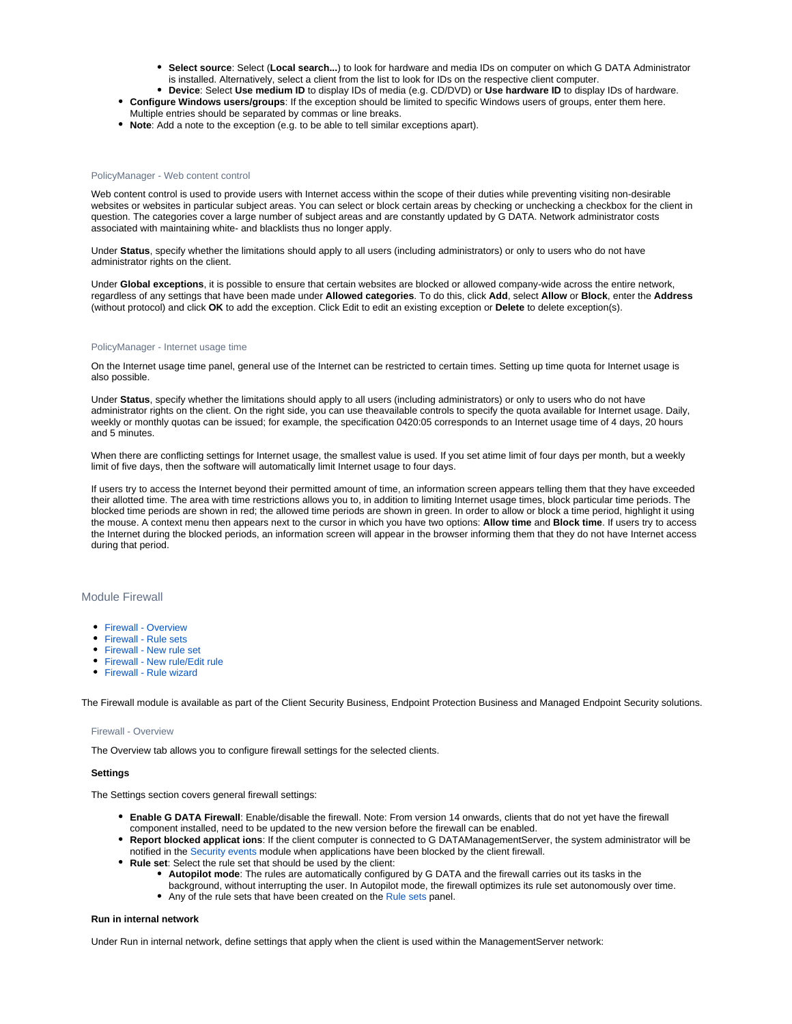- **Select source**: Select (**Local search...**) to look for hardware and media IDs on computer on which G DATA Administrator is installed. Alternatively, select a client from the list to look for IDs on the respective client computer.
- **Device**: Select **Use medium ID** to display IDs of media (e.g. CD/DVD) or **Use hardware ID** to display IDs of hardware. **Configure Windows users/groups**: If the exception should be limited to specific Windows users of groups, enter them here.
- Multiple entries should be separated by commas or line breaks. **Note**: Add a note to the exception (e.g. to be able to tell similar exceptions apart).

# <span id="page-18-0"></span>PolicyManager - Web content control

Web content control is used to provide users with Internet access within the scope of their duties while preventing visiting non-desirable websites or websites in particular subject areas. You can select or block certain areas by checking or unchecking a checkbox for the client in question. The categories cover a large number of subject areas and are constantly updated by G DATA. Network administrator costs associated with maintaining white- and blacklists thus no longer apply.

Under **Status**, specify whether the limitations should apply to all users (including administrators) or only to users who do not have administrator rights on the client.

Under **Global exceptions**, it is possible to ensure that certain websites are blocked or allowed company-wide across the entire network, regardless of any settings that have been made under **Allowed categories**. To do this, click **Add**, select **Allow** or **Block**, enter the **Address** (without protocol) and click **OK** to add the exception. Click Edit to edit an existing exception or **Delete** to delete exception(s).

# <span id="page-18-1"></span>PolicyManager - Internet usage time

On the Internet usage time panel, general use of the Internet can be restricted to certain times. Setting up time quota for Internet usage is also possible.

Under **Status**, specify whether the limitations should apply to all users (including administrators) or only to users who do not have administrator rights on the client. On the right side, you can use theavailable controls to specify the quota available for Internet usage. Daily, weekly or monthly quotas can be issued; for example, the specification 0420:05 corresponds to an Internet usage time of 4 days, 20 hours and 5 minutes.

When there are conflicting settings for Internet usage, the smallest value is used. If you set atime limit of four days per month, but a weekly limit of five days, then the software will automatically limit Internet usage to four days.

If users try to access the Internet beyond their permitted amount of time, an information screen appears telling them that they have exceeded their allotted time. The area with time restrictions allows you to, in addition to limiting Internet usage times, block particular time periods. The blocked time periods are shown in red; the allowed time periods are shown in green. In order to allow or block a time period, highlight it using the mouse. A context menu then appears next to the cursor in which you have two options: **Allow time** and **Block time**. If users try to access the Internet during the blocked periods, an information screen will appear in the browser informing them that they do not have Internet access during that period.

# <span id="page-18-2"></span>Module Firewall

- [Firewall Overview](#page-18-3)
- [Firewall Rule sets](#page-19-0)
- [Firewall New rule set](#page-19-1)
- [Firewall New rule/Edit rule](#page-19-2)
- [Firewall Rule wizard](#page-19-3)

<span id="page-18-3"></span>The Firewall module is available as part of the Client Security Business, Endpoint Protection Business and Managed Endpoint Security solutions.

#### Firewall - Overview

The Overview tab allows you to configure firewall settings for the selected clients.

#### **Settings**

The Settings section covers general firewall settings:

- **Enable G DATA Firewall**: Enable/disable the firewall. Note: From version 14 onwards, clients that do not yet have the firewall component installed, need to be updated to the new version before the firewall can be enabled.
- **Report blocked applicat ions**: If the client computer is connected to G DATAManagementServer, the system administrator will be notified in th[e Security events](https://www.gdata.help/display/BS/Protokolle+-+Sicherheitsereignisse) module when applications have been blocked by the client firewall.
- **Rule set**: Select the rule set that should be used by the client:
	- **Autopilot mode**: The rules are automatically configured by G DATA and the firewall carries out its tasks in the
	- background, without interrupting the user. In Autopilot mode, the firewall optimizes its rule set autonomously over time. Any of the rule sets that have been created on the [Rule sets](https://www.gdata.help/display/BS/G+DATA+Security+Client+Firewall+-+Regelsaetze) panel.

#### **Run in internal network**

Under Run in internal network, define settings that apply when the client is used within the ManagementServer network: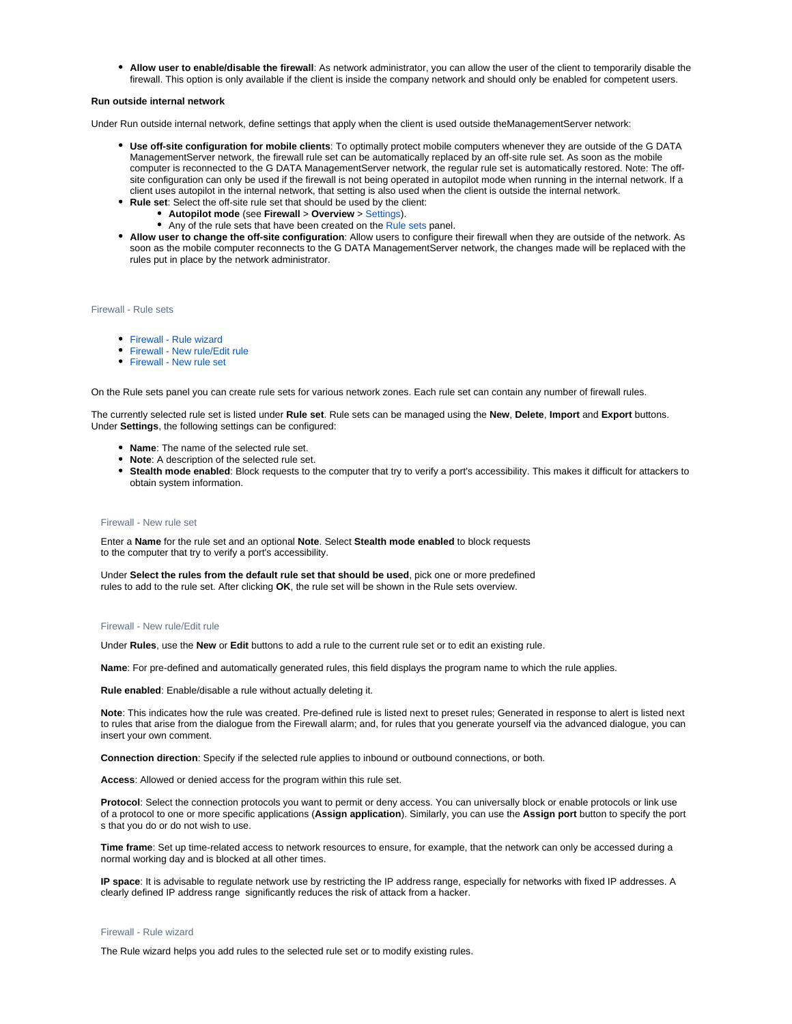**Allow user to enable/disable the firewall**: As network administrator, you can allow the user of the client to temporarily disable the firewall. This option is only available if the client is inside the company network and should only be enabled for competent users.

#### **Run outside internal network**

Under Run outside internal network, define settings that apply when the client is used outside theManagementServer network:

- **Use off-site configuration for mobile clients**: To optimally protect mobile computers whenever they are outside of the G DATA ManagementServer network, the firewall rule set can be automatically replaced by an off-site rule set. As soon as the mobile computer is reconnected to the G DATA ManagementServer network, the regular rule set is automatically restored. Note: The offsite configuration can only be used if the firewall is not being operated in autopilot mode when running in the internal network. If a client uses autopilot in the internal network, that setting is also used when the client is outside the internal network.
- **Rule set**: Select the off-site rule set that should be used by the client:
	- **Autopilot mode** (see **Firewall** > **Overview** > [Settings\)](https://www.gdata.help/display/BS/Client+Dashboard).
	- Any of the rule sets that have been created on the [Rule sets](https://www.gdata.help/display/BS/G+DATA+Security+Client+Firewall+-+Regelsaetze) panel.
- **Allow user to change the off-site configuration**: Allow users to configure their firewall when they are outside of the network. As soon as the mobile computer reconnects to the G DATA ManagementServer network, the changes made will be replaced with the rules put in place by the network administrator.

<span id="page-19-0"></span>Firewall - Rule sets

- [Firewall Rule wizard](https://www.gdata.help/display/BS/Firewall+-+Regelassistent)
- [Firewall New rule/Edit rule](https://www.gdata.help/display/BS/Firewall+-+Regel+erstellen+oder+bearbeiten)
- [Firewall New rule set](https://www.gdata.help/display/BS/Firewall+-+Regelsatz+hinzufuegen)

On the Rule sets panel you can create rule sets for various network zones. Each rule set can contain any number of firewall rules.

The currently selected rule set is listed under **Rule set**. Rule sets can be managed using the **New**, **Delete**, **Import** and **Export** buttons. Under **Settings**, the following settings can be configured:

- **Name**: The name of the selected rule set.
- **Note**: A description of the selected rule set.
- **Stealth mode enabled**: Block requests to the computer that try to verify a port's accessibility. This makes it difficult for attackers to obtain system information.

#### <span id="page-19-1"></span>Firewall - New rule set

Enter a **Name** for the rule set and an optional **Note**. Select **Stealth mode enabled** to block requests to the computer that try to verify a port's accessibility.

Under **Select the rules from the default rule set that should be used**, pick one or more predefined rules to add to the rule set. After clicking **OK**, the rule set will be shown in the Rule sets overview.

#### <span id="page-19-2"></span>Firewall - New rule/Edit rule

Under **Rules**, use the **New** or **Edit** buttons to add a rule to the current rule set or to edit an existing rule.

**Name**: For pre-defined and automatically generated rules, this field displays the program name to which the rule applies.

**Rule enabled**: Enable/disable a rule without actually deleting it.

**Note**: This indicates how the rule was created. Pre-defined rule is listed next to preset rules; Generated in response to alert is listed next to rules that arise from the dialogue from the Firewall alarm; and, for rules that you generate yourself via the advanced dialogue, you can insert your own comment.

**Connection direction**: Specify if the selected rule applies to inbound or outbound connections, or both.

**Access**: Allowed or denied access for the program within this rule set.

**Protocol**: Select the connection protocols you want to permit or deny access. You can universally block or enable protocols or link use of a protocol to one or more specific applications (**Assign application**). Similarly, you can use the **Assign port** button to specify the port s that you do or do not wish to use.

**Time frame**: Set up time-related access to network resources to ensure, for example, that the network can only be accessed during a normal working day and is blocked at all other times.

**IP space**: It is advisable to regulate network use by restricting the IP address range, especially for networks with fixed IP addresses. A clearly defined IP address range significantly reduces the risk of attack from a hacker.

#### <span id="page-19-3"></span>Firewall - Rule wizard

The Rule wizard helps you add rules to the selected rule set or to modify existing rules.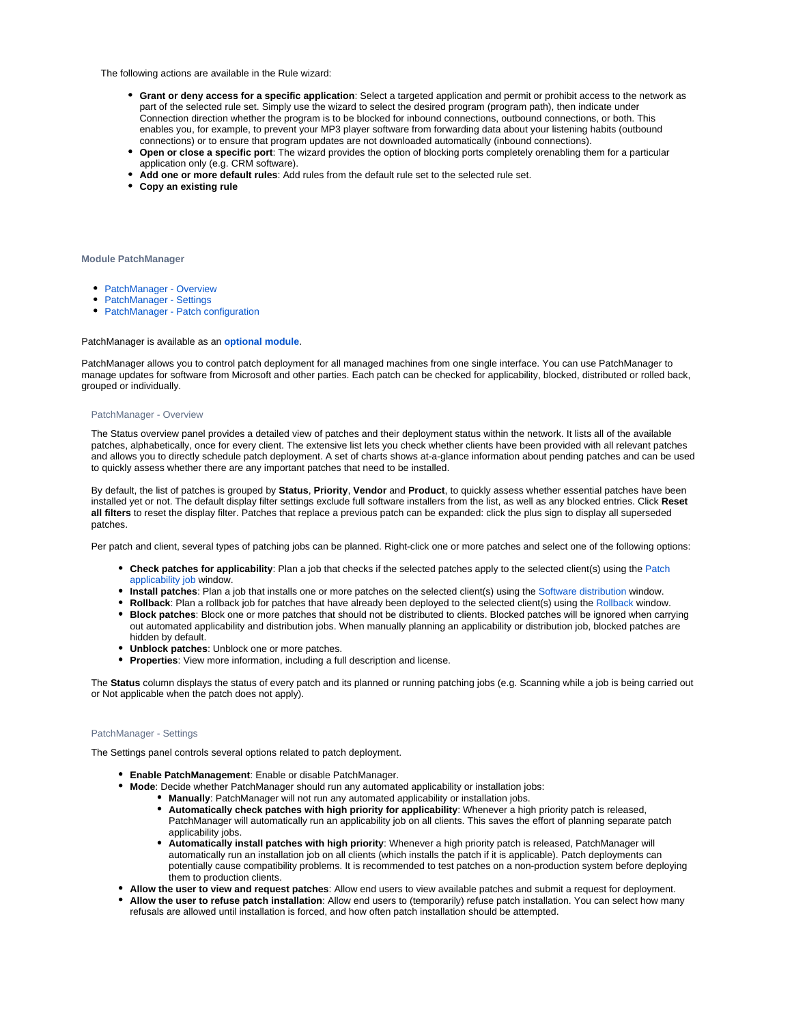The following actions are available in the Rule wizard:

- **Grant or deny access for a specific application**: Select a targeted application and permit or prohibit access to the network as part of the selected rule set. Simply use the wizard to select the desired program (program path), then indicate under Connection direction whether the program is to be blocked for inbound connections, outbound connections, or both. This enables you, for example, to prevent your MP3 player software from forwarding data about your listening habits (outbound connections) or to ensure that program updates are not downloaded automatically (inbound connections).
- **Open or close a specific port**: The wizard provides the option of blocking ports completely orenabling them for a particular application only (e.g. CRM software).
- **Add one or more default rules**: Add rules from the default rule set to the selected rule set.
- **Copy an existing rule**

**Module PatchManager**

- [PatchManager Overview](#page-20-0)
- [PatchManager Settings](#page-20-1)
- [PatchManager Patch configuration](#page-20-2)

#### PatchManager is available as an **[optional module](https://www.gdata.help/display/BS/G+DATA+Business+Solutions+-+Lizenzierung)**.

PatchManager allows you to control patch deployment for all managed machines from one single interface. You can use PatchManager to manage updates for software from Microsoft and other parties. Each patch can be checked for applicability, blocked, distributed or rolled back, grouped or individually.

#### <span id="page-20-0"></span>PatchManager - Overview

The Status overview panel provides a detailed view of patches and their deployment status within the network. It lists all of the available patches, alphabetically, once for every client. The extensive list lets you check whether clients have been provided with all relevant patches and allows you to directly schedule patch deployment. A set of charts shows at-a-glance information about pending patches and can be used to quickly assess whether there are any important patches that need to be installed.

By default, the list of patches is grouped by **Status**, **Priority**, **Vendor** and **Product**, to quickly assess whether essential patches have been installed yet or not. The default display filter settings exclude full software installers from the list, as well as any blocked entries. Click **Reset all filters** to reset the display filter. Patches that replace a previous patch can be expanded: click the plus sign to display all superseded patches.

Per patch and client, several types of patching jobs can be planned. Right-click one or more patches and select one of the following options:

- **Check patches for applicability**: Plan a job that checks if the selected patches apply to the selected client(s) using the [Patch](https://www.gdata.help/display/BS/Auftraege+-+Softwareerkennungsauftrag)  [applicability job](https://www.gdata.help/display/BS/Auftraege+-+Softwareerkennungsauftrag) window.
- **Install patches**: Plan a job that installs one or more patches on the selected client(s) using the [Software distribution](https://www.gdata.help/display/BS/Auftraege+-+Softwareverteilungsauftrag) window.
- **Rollback**: Plan a rollback job for patches that have already been deployed to the selected client(s) using the [Rollback](https://www.gdata.help/display/BS/Auftraege+-+Rollbackauftrag) window.
- **Block patches**: Block one or more patches that should not be distributed to clients. Blocked patches will be ignored when carrying out automated applicability and distribution jobs. When manually planning an applicability or distribution job, blocked patches are hidden by default.
- **Unblock patches**: Unblock one or more patches.
- **Properties**: View more information, including a full description and license.

The **Status** column displays the status of every patch and its planned or running patching jobs (e.g. Scanning while a job is being carried out or Not applicable when the patch does not apply).

# <span id="page-20-1"></span>PatchManager - Settings

The Settings panel controls several options related to patch deployment.

- **Enable PatchManagement**: Enable or disable PatchManager.
- **Mode**: Decide whether PatchManager should run any automated applicability or installation jobs:
	- **Manually**: PatchManager will not run any automated applicability or installation jobs.
		- **Automatically check patches with high priority for applicability**: Whenever a high priority patch is released, PatchManager will automatically run an applicability job on all clients. This saves the effort of planning separate patch applicability jobs.
		- $\bullet$ **Automatically install patches with high priority**: Whenever a high priority patch is released, PatchManager will automatically run an installation job on all clients (which installs the patch if it is applicable). Patch deployments can potentially cause compatibility problems. It is recommended to test patches on a non-production system before deploying them to production clients.
- **Allow the user to view and request patches**: Allow end users to view available patches and submit a request for deployment.
- <span id="page-20-2"></span>**Allow the user to refuse patch installation**: Allow end users to (temporarily) refuse patch installation. You can select how many refusals are allowed until installation is forced, and how often patch installation should be attempted.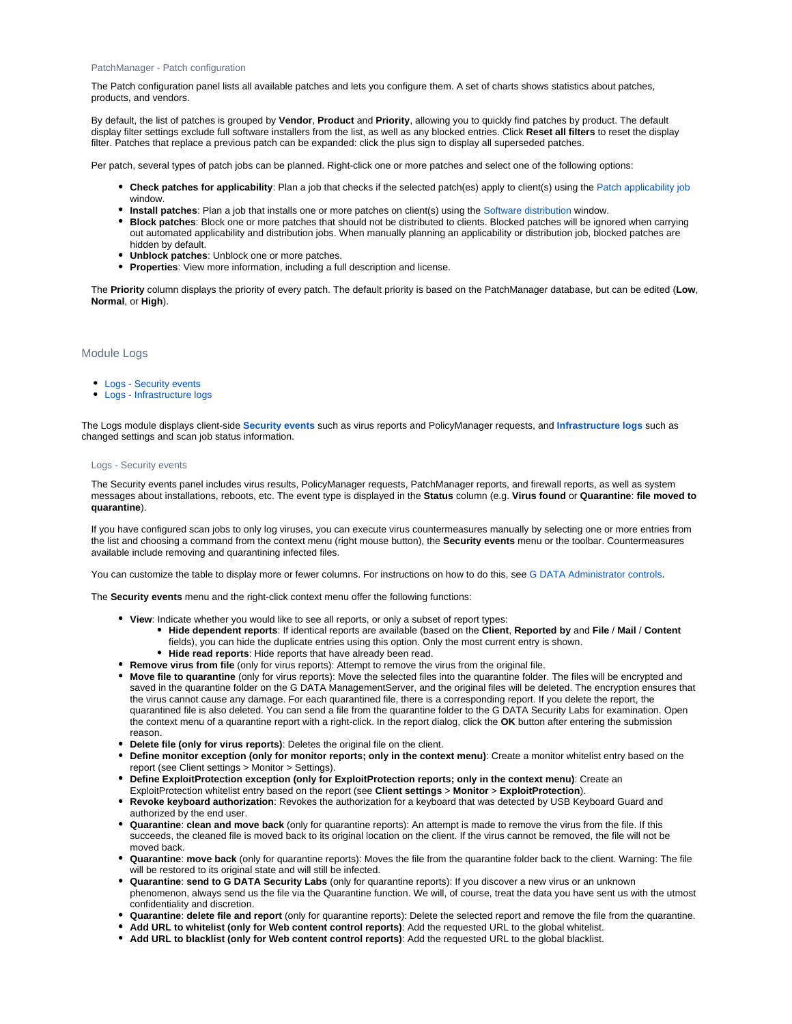#### PatchManager - Patch configuration

The Patch configuration panel lists all available patches and lets you configure them. A set of charts shows statistics about patches, products, and vendors.

By default, the list of patches is grouped by **Vendor**, **Product** and **Priority**, allowing you to quickly find patches by product. The default display filter settings exclude full software installers from the list, as well as any blocked entries. Click **Reset all filters** to reset the display filter. Patches that replace a previous patch can be expanded: click the plus sign to display all superseded patches.

Per patch, several types of patch jobs can be planned. Right-click one or more patches and select one of the following options:

- **Check patches for applicability**: Plan a job that checks if the selected patch(es) apply to client(s) using the [Patch applicability job](https://www.gdata.help/display/BS/Auftraege+-+Softwareerkennungsauftrag) window.
- **Install patches**: Plan a job that installs one or more patches on client(s) using the [Software distribution](https://www.gdata.help/display/BS/Auftraege+-+Softwareverteilungsauftrag) window.
- **Block patches**: Block one or more patches that should not be distributed to clients. Blocked patches will be ignored when carrying out automated applicability and distribution jobs. When manually planning an applicability or distribution job, blocked patches are hidden by default.
- **Unblock patches**: Unblock one or more patches.
- **Properties**: View more information, including a full description and license.

The **Priority** column displays the priority of every patch. The default priority is based on the PatchManager database, but can be edited (**Low**, **Normal**, or **High**).

# <span id="page-21-0"></span>Module Logs

- [Logs Security events](#page-21-1)
- [Logs Infrastructure logs](#page-22-0)

The Logs module displays client-side **[Security events](https://www.gdata.help/display/BS/Protokolle+-+Sicherheitsereignisse)** such as virus reports and PolicyManager requests, and **[Infrastructure logs](https://www.gdata.help/display/BS/Protokolle+-+Infrastruktur-Logs)** such as changed settings and scan job status information.

#### <span id="page-21-1"></span>Logs - Security events

The Security events panel includes virus results, PolicyManager requests, PatchManager reports, and firewall reports, as well as system messages about installations, reboots, etc. The event type is displayed in the **Status** column (e.g. **Virus found** or **Quarantine**: **file moved to quarantine**).

If you have configured scan jobs to only log viruses, you can execute virus countermeasures manually by selecting one or more entries from the list and choosing a command from the context menu (right mouse button), the **Security events** menu or the toolbar. Countermeasures available include removing and quarantining infected files.

You can customize the table to display more or fewer columns. For instructions on how to do this, see [G DATA Administrator controls.](https://www.gdata.help/display/BS/G+DATA+Administrator+Bedienelemente)

The **Security events** menu and the right-click context menu offer the following functions:

- **View**: Indicate whether you would like to see all reports, or only a subset of report types:
	- **Hide dependent reports**: If identical reports are available (based on the **Client**, **Reported by** and **File** / **Mail** / **Content** fields), you can hide the duplicate entries using this option. Only the most current entry is shown.
		- **Hide read reports**: Hide reports that have already been read.
- **Remove virus from file** (only for virus reports): Attempt to remove the virus from the original file.
- **Move file to quarantine** (only for virus reports): Move the selected files into the quarantine folder. The files will be encrypted and saved in the quarantine folder on the G DATA ManagementServer, and the original files will be deleted. The encryption ensures that the virus cannot cause any damage. For each quarantined file, there is a corresponding report. If you delete the report, the quarantined file is also deleted. You can send a file from the quarantine folder to the G DATA Security Labs for examination. Open the context menu of a quarantine report with a right-click. In the report dialog, click the **OK** button after entering the submission reason.
- **Delete file (only for virus reports)**: Deletes the original file on the client.
- **Define monitor exception (only for monitor reports; only in the context menu)**: Create a monitor whitelist entry based on the report (see Client settings > Monitor > Settings).
- **Define ExploitProtection exception (only for ExploitProtection reports; only in the context menu)**: Create an ExploitProtection whitelist entry based on the report (see **Client settings** > **Monitor** > **ExploitProtection**).
- **Revoke keyboard authorization**: Revokes the authorization for a keyboard that was detected by USB Keyboard Guard and authorized by the end user.
- **Quarantine**: **clean and move back** (only for quarantine reports): An attempt is made to remove the virus from the file. If this succeeds, the cleaned file is moved back to its original location on the client. If the virus cannot be removed, the file will not be moved back.
- **Quarantine**: **move back** (only for quarantine reports): Moves the file from the quarantine folder back to the client. Warning: The file will be restored to its original state and will still be infected.
- **Quarantine**: **send to G DATA Security Labs** (only for quarantine reports): If you discover a new virus or an unknown phenomenon, always send us the file via the Quarantine function. We will, of course, treat the data you have sent us with the utmost confidentiality and discretion.
- **Quarantine**: **delete file and report** (only for quarantine reports): Delete the selected report and remove the file from the quarantine.
- **Add URL to whitelist (only for Web content control reports)**: Add the requested URL to the global whitelist.
- **Add URL to blacklist (only for Web content control reports)**: Add the requested URL to the global blacklist.